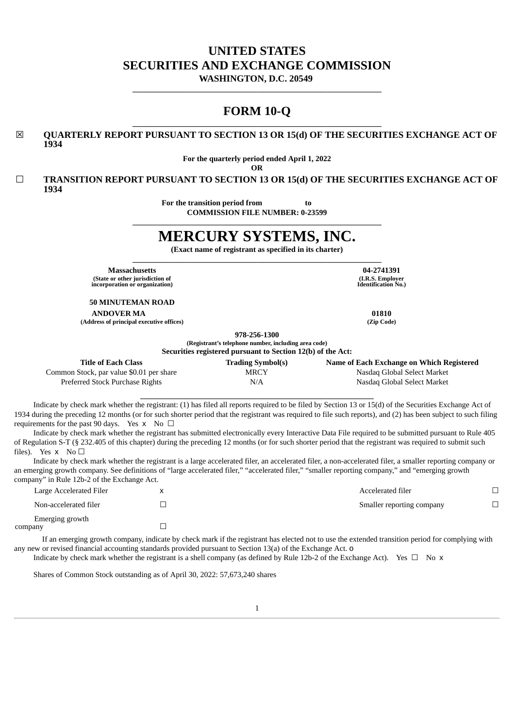# **UNITED STATES SECURITIES AND EXCHANGE COMMISSION**

**WASHINGTON, D.C. 20549 \_\_\_\_\_\_\_\_\_\_\_\_\_\_\_\_\_\_\_\_\_\_\_\_\_\_\_\_\_\_\_\_\_\_\_\_\_\_\_\_\_\_\_\_\_\_\_\_\_\_\_\_\_\_\_\_\_\_\_\_\_\_\_\_**

# **FORM 10-Q \_\_\_\_\_\_\_\_\_\_\_\_\_\_\_\_\_\_\_\_\_\_\_\_\_\_\_\_\_\_\_\_\_\_\_\_\_\_\_\_\_\_\_\_\_\_\_\_\_\_\_\_\_\_\_\_\_\_\_\_\_\_\_\_**

## ☒ **QUARTERLY REPORT PURSUANT TO SECTION 13 OR 15(d) OF THE SECURITIES EXCHANGE ACT OF 1934**

**For the quarterly period ended April 1, 2022**

**OR**

☐ **TRANSITION REPORT PURSUANT TO SECTION 13 OR 15(d) OF THE SECURITIES EXCHANGE ACT OF 1934**

> **For the transition period from to COMMISSION FILE NUMBER: 0-23599**

# **\_\_\_\_\_\_\_\_\_\_\_\_\_\_\_\_\_\_\_\_\_\_\_\_\_\_\_\_\_\_\_\_\_\_\_\_\_\_\_\_\_\_\_\_\_\_\_\_\_\_\_\_\_\_\_\_\_\_\_\_\_\_\_\_ MERCURY SYSTEMS, INC.**

**(Exact name of registrant as specified in its charter) \_\_\_\_\_\_\_\_\_\_\_\_\_\_\_\_\_\_\_\_\_\_\_\_\_\_\_\_\_\_\_\_\_\_\_\_\_\_\_\_\_\_\_\_\_\_\_\_\_\_\_\_\_\_\_\_\_\_\_\_\_\_\_\_**

**Massachusetts 04-2741391 (State or other jurisdiction of incorporation or organization)**

**50 MINUTEMAN ROAD**

**ANDOVER MA 01810 (Address of principal executive offices) (Zip Code)**

**(I.R.S. Employer Identification No.)**

**978-256-1300**

**(Registrant's telephone number, including area code) Securities registered pursuant to Section 12(b) of the Act:**

| <b>Title of Each Class</b>               | <b>Trading Symbol(s)</b> | Name of Each Exchange on Which Registered |
|------------------------------------------|--------------------------|-------------------------------------------|
| Common Stock, par value \$0.01 per share | MRCY                     | Nasdag Global Select Market               |
| Preferred Stock Purchase Rights          | N/A                      | Nasdag Global Select Market               |

Indicate by check mark whether the registrant: (1) has filed all reports required to be filed by Section 13 or 15(d) of the Securities Exchange Act of 1934 during the preceding 12 months (or for such shorter period that the registrant was required to file such reports), and (2) has been subject to such filing requirements for the past 90 days. Yes  $x \to 0$ 

**\_\_\_\_\_\_\_\_\_\_\_\_\_\_\_\_\_\_\_\_\_\_\_\_\_\_\_\_\_\_\_\_\_\_\_\_\_\_\_\_\_\_\_\_\_\_\_\_\_\_\_\_\_\_\_\_\_\_\_\_**

Indicate by check mark whether the registrant has submitted electronically every Interactive Data File required to be submitted pursuant to Rule 405 of Regulation S-T (§ 232.405 of this chapter) during the preceding 12 months (or for such shorter period that the registrant was required to submit such files). Yes  $x \in N_0 \square$ 

Indicate by check mark whether the registrant is a large accelerated filer, an accelerated filer, a non-accelerated filer, a smaller reporting company or an emerging growth company. See definitions of "large accelerated filer," "accelerated filer," "smaller reporting company," and "emerging growth company" in Rule 12b-2 of the Exchange Act.

| Large Accelerated Filer    | ᄉ | Accelerated filer         |  |
|----------------------------|---|---------------------------|--|
| Non-accelerated filer      |   | Smaller reporting company |  |
| Emerging growth<br>company |   |                           |  |

If an emerging growth company, indicate by check mark if the registrant has elected not to use the extended transition period for complying with any new or revised financial accounting standards provided pursuant to Section 13(a) of the Exchange Act. o

Indicate by check mark whether the registrant is a shell company (as defined by Rule 12b-2 of the Exchange Act). Yes  $\Box$  No x

Shares of Common Stock outstanding as of April 30, 2022: 57,673,240 shares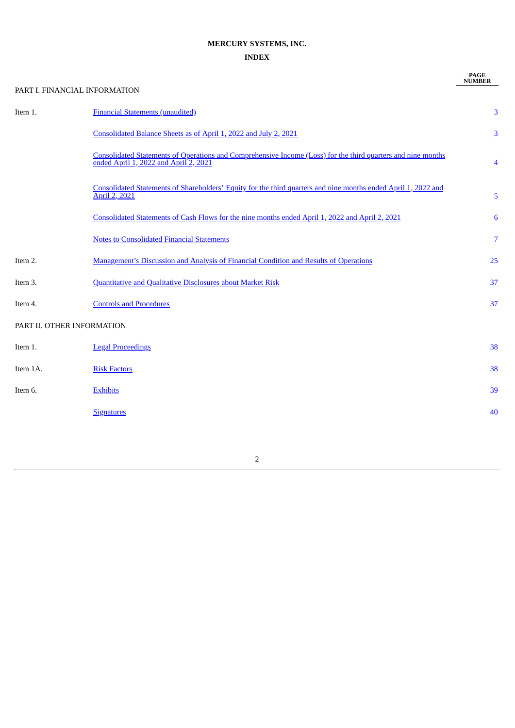# **MERCURY SYSTEMS, INC. INDEX**

**PAGE NUMBER**

| Item 1. | <b>Financial Statements (unaudited)</b>                                                                                                                      | 3                       |
|---------|--------------------------------------------------------------------------------------------------------------------------------------------------------------|-------------------------|
|         | Consolidated Balance Sheets as of April 1, 2022 and July 2, 2021                                                                                             | 3                       |
|         | <b>Consolidated Statements of Operations and Comprehensive Income (Loss) for the third quarters and nine months</b><br>ended April 1, 2022 and April 2, 2021 | $\overline{\mathbf{4}}$ |
|         | Consolidated Statements of Shareholders' Equity for the third quarters and nine months ended April 1, 2022 and<br>April 2, 2021                              | 5                       |
|         | Consolidated Statements of Cash Flows for the nine months ended April 1, 2022 and April 2, 2021                                                              | 6                       |
|         | <b>Notes to Consolidated Financial Statements</b>                                                                                                            |                         |

PART I. FINANCIAL INFORMATION

|                            | <b>Notes to Consolidated Financial Statements</b>                                     | $\overline{7}$ |
|----------------------------|---------------------------------------------------------------------------------------|----------------|
| Item 2.                    | Management's Discussion and Analysis of Financial Condition and Results of Operations | 25             |
| Item 3.                    | <b>Quantitative and Qualitative Disclosures about Market Risk</b>                     | 37             |
| Item 4.                    | <b>Controls and Procedures</b>                                                        | 37             |
| PART II. OTHER INFORMATION |                                                                                       |                |
| Item 1.                    | <b>Legal Proceedings</b>                                                              | 38             |
| Item 1A.                   | <b>Risk Factors</b>                                                                   | 38             |
| Item 6.                    | <b>Exhibits</b>                                                                       | 39             |
|                            | <b>Signatures</b>                                                                     | 40             |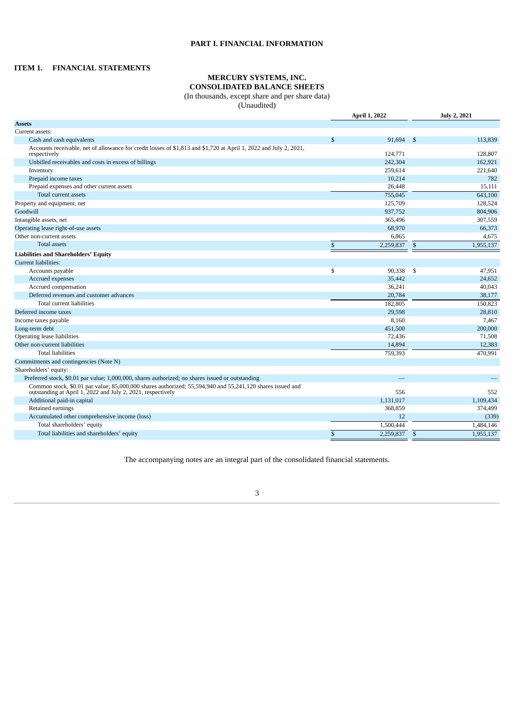# **PART I. FINANCIAL INFORMATION**

## <span id="page-2-1"></span><span id="page-2-0"></span>**ITEM 1. FINANCIAL STATEMENTS**

## **MERCURY SYSTEMS, INC. CONSOLIDATED BALANCE SHEETS**

# (In thousands, except share and per share data)

(Unaudited)

| \$<br>91,694<br>Cash and cash equivalents<br>- \$<br>113,839<br>Accounts receivable, net of allowance for credit losses of \$1,813 and \$1,720 at April 1, 2022 and July 2, 2021,<br>124,771<br>128,807<br>respectively<br>242,304<br>Unbilled receivables and costs in excess of billings<br>162,921<br>259,614<br>Inventory<br>221,640<br>782<br>Prepaid income taxes<br>10,214<br>Prepaid expenses and other current assets<br>26,448<br>15,111<br>755,045<br>643,100<br>Total current assets<br>125,709<br>128,524<br>937,752<br>804,906<br>365,496<br>307,559<br>68,970<br>66,373<br>6,865<br>4,675<br>2,259,837<br><b>Total assets</b><br>$\mathbb{S}$<br>$\mathbf{\hat{S}}$<br>1,955,137<br>\$<br>Accounts payable<br>90,338<br>-\$<br>47,951<br>Accrued expenses<br>35,442<br>24,652<br>Accrued compensation<br>36,241<br>40,043<br>Deferred revenues and customer advances<br>20,784<br>38,177<br>Total current liabilities<br>182,805<br>150,823<br>29,598<br>28,810<br>8,160<br>7,467<br>451,500<br>200,000<br>71,508<br>72,436<br>14,894<br>12,383<br><b>Total liabilities</b><br>759,393<br>470,991<br>Preferred stock, \$0.01 par value; 1,000,000, shares authorized; no shares issued or outstanding<br>Common stock, \$0.01 par value; 85,000,000 shares authorized; 55,594,940 and 55,241,120 shares issued and<br>outstanding at April 1, 2022 and July 2, 2021, respectively<br>556<br>552<br>Additional paid-in capital<br>1,131,017<br>1,109,434<br>Retained earnings<br>368,859<br>374,499<br>Accumulated other comprehensive income (loss)<br>12<br>(339)<br>Total shareholders' equity<br>1.500.444<br>1,484,146<br>Total liabilities and shareholders' equity<br>\$<br>2,259,837<br>$\mathbf{s}$<br>1,955,137 |                                             | April 1, 2022 | <b>July 2, 2021</b> |
|-----------------------------------------------------------------------------------------------------------------------------------------------------------------------------------------------------------------------------------------------------------------------------------------------------------------------------------------------------------------------------------------------------------------------------------------------------------------------------------------------------------------------------------------------------------------------------------------------------------------------------------------------------------------------------------------------------------------------------------------------------------------------------------------------------------------------------------------------------------------------------------------------------------------------------------------------------------------------------------------------------------------------------------------------------------------------------------------------------------------------------------------------------------------------------------------------------------------------------------------------------------------------------------------------------------------------------------------------------------------------------------------------------------------------------------------------------------------------------------------------------------------------------------------------------------------------------------------------------------------------------------------------------------------------------------------------------------------------------------------|---------------------------------------------|---------------|---------------------|
|                                                                                                                                                                                                                                                                                                                                                                                                                                                                                                                                                                                                                                                                                                                                                                                                                                                                                                                                                                                                                                                                                                                                                                                                                                                                                                                                                                                                                                                                                                                                                                                                                                                                                                                                         | <b>Assets</b>                               |               |                     |
|                                                                                                                                                                                                                                                                                                                                                                                                                                                                                                                                                                                                                                                                                                                                                                                                                                                                                                                                                                                                                                                                                                                                                                                                                                                                                                                                                                                                                                                                                                                                                                                                                                                                                                                                         | Current assets:                             |               |                     |
|                                                                                                                                                                                                                                                                                                                                                                                                                                                                                                                                                                                                                                                                                                                                                                                                                                                                                                                                                                                                                                                                                                                                                                                                                                                                                                                                                                                                                                                                                                                                                                                                                                                                                                                                         |                                             |               |                     |
|                                                                                                                                                                                                                                                                                                                                                                                                                                                                                                                                                                                                                                                                                                                                                                                                                                                                                                                                                                                                                                                                                                                                                                                                                                                                                                                                                                                                                                                                                                                                                                                                                                                                                                                                         |                                             |               |                     |
|                                                                                                                                                                                                                                                                                                                                                                                                                                                                                                                                                                                                                                                                                                                                                                                                                                                                                                                                                                                                                                                                                                                                                                                                                                                                                                                                                                                                                                                                                                                                                                                                                                                                                                                                         |                                             |               |                     |
|                                                                                                                                                                                                                                                                                                                                                                                                                                                                                                                                                                                                                                                                                                                                                                                                                                                                                                                                                                                                                                                                                                                                                                                                                                                                                                                                                                                                                                                                                                                                                                                                                                                                                                                                         |                                             |               |                     |
|                                                                                                                                                                                                                                                                                                                                                                                                                                                                                                                                                                                                                                                                                                                                                                                                                                                                                                                                                                                                                                                                                                                                                                                                                                                                                                                                                                                                                                                                                                                                                                                                                                                                                                                                         |                                             |               |                     |
|                                                                                                                                                                                                                                                                                                                                                                                                                                                                                                                                                                                                                                                                                                                                                                                                                                                                                                                                                                                                                                                                                                                                                                                                                                                                                                                                                                                                                                                                                                                                                                                                                                                                                                                                         |                                             |               |                     |
|                                                                                                                                                                                                                                                                                                                                                                                                                                                                                                                                                                                                                                                                                                                                                                                                                                                                                                                                                                                                                                                                                                                                                                                                                                                                                                                                                                                                                                                                                                                                                                                                                                                                                                                                         |                                             |               |                     |
|                                                                                                                                                                                                                                                                                                                                                                                                                                                                                                                                                                                                                                                                                                                                                                                                                                                                                                                                                                                                                                                                                                                                                                                                                                                                                                                                                                                                                                                                                                                                                                                                                                                                                                                                         | Property and equipment, net                 |               |                     |
|                                                                                                                                                                                                                                                                                                                                                                                                                                                                                                                                                                                                                                                                                                                                                                                                                                                                                                                                                                                                                                                                                                                                                                                                                                                                                                                                                                                                                                                                                                                                                                                                                                                                                                                                         | Goodwill                                    |               |                     |
|                                                                                                                                                                                                                                                                                                                                                                                                                                                                                                                                                                                                                                                                                                                                                                                                                                                                                                                                                                                                                                                                                                                                                                                                                                                                                                                                                                                                                                                                                                                                                                                                                                                                                                                                         | Intangible assets, net                      |               |                     |
|                                                                                                                                                                                                                                                                                                                                                                                                                                                                                                                                                                                                                                                                                                                                                                                                                                                                                                                                                                                                                                                                                                                                                                                                                                                                                                                                                                                                                                                                                                                                                                                                                                                                                                                                         | Operating lease right-of-use assets         |               |                     |
|                                                                                                                                                                                                                                                                                                                                                                                                                                                                                                                                                                                                                                                                                                                                                                                                                                                                                                                                                                                                                                                                                                                                                                                                                                                                                                                                                                                                                                                                                                                                                                                                                                                                                                                                         | Other non-current assets                    |               |                     |
|                                                                                                                                                                                                                                                                                                                                                                                                                                                                                                                                                                                                                                                                                                                                                                                                                                                                                                                                                                                                                                                                                                                                                                                                                                                                                                                                                                                                                                                                                                                                                                                                                                                                                                                                         |                                             |               |                     |
|                                                                                                                                                                                                                                                                                                                                                                                                                                                                                                                                                                                                                                                                                                                                                                                                                                                                                                                                                                                                                                                                                                                                                                                                                                                                                                                                                                                                                                                                                                                                                                                                                                                                                                                                         | <b>Liabilities and Shareholders' Equity</b> |               |                     |
|                                                                                                                                                                                                                                                                                                                                                                                                                                                                                                                                                                                                                                                                                                                                                                                                                                                                                                                                                                                                                                                                                                                                                                                                                                                                                                                                                                                                                                                                                                                                                                                                                                                                                                                                         | <b>Current liabilities:</b>                 |               |                     |
|                                                                                                                                                                                                                                                                                                                                                                                                                                                                                                                                                                                                                                                                                                                                                                                                                                                                                                                                                                                                                                                                                                                                                                                                                                                                                                                                                                                                                                                                                                                                                                                                                                                                                                                                         |                                             |               |                     |
|                                                                                                                                                                                                                                                                                                                                                                                                                                                                                                                                                                                                                                                                                                                                                                                                                                                                                                                                                                                                                                                                                                                                                                                                                                                                                                                                                                                                                                                                                                                                                                                                                                                                                                                                         |                                             |               |                     |
|                                                                                                                                                                                                                                                                                                                                                                                                                                                                                                                                                                                                                                                                                                                                                                                                                                                                                                                                                                                                                                                                                                                                                                                                                                                                                                                                                                                                                                                                                                                                                                                                                                                                                                                                         |                                             |               |                     |
|                                                                                                                                                                                                                                                                                                                                                                                                                                                                                                                                                                                                                                                                                                                                                                                                                                                                                                                                                                                                                                                                                                                                                                                                                                                                                                                                                                                                                                                                                                                                                                                                                                                                                                                                         |                                             |               |                     |
|                                                                                                                                                                                                                                                                                                                                                                                                                                                                                                                                                                                                                                                                                                                                                                                                                                                                                                                                                                                                                                                                                                                                                                                                                                                                                                                                                                                                                                                                                                                                                                                                                                                                                                                                         |                                             |               |                     |
|                                                                                                                                                                                                                                                                                                                                                                                                                                                                                                                                                                                                                                                                                                                                                                                                                                                                                                                                                                                                                                                                                                                                                                                                                                                                                                                                                                                                                                                                                                                                                                                                                                                                                                                                         | Deferred income taxes                       |               |                     |
|                                                                                                                                                                                                                                                                                                                                                                                                                                                                                                                                                                                                                                                                                                                                                                                                                                                                                                                                                                                                                                                                                                                                                                                                                                                                                                                                                                                                                                                                                                                                                                                                                                                                                                                                         | Income taxes payable                        |               |                     |
|                                                                                                                                                                                                                                                                                                                                                                                                                                                                                                                                                                                                                                                                                                                                                                                                                                                                                                                                                                                                                                                                                                                                                                                                                                                                                                                                                                                                                                                                                                                                                                                                                                                                                                                                         | Long-term debt                              |               |                     |
|                                                                                                                                                                                                                                                                                                                                                                                                                                                                                                                                                                                                                                                                                                                                                                                                                                                                                                                                                                                                                                                                                                                                                                                                                                                                                                                                                                                                                                                                                                                                                                                                                                                                                                                                         | Operating lease liabilities                 |               |                     |
|                                                                                                                                                                                                                                                                                                                                                                                                                                                                                                                                                                                                                                                                                                                                                                                                                                                                                                                                                                                                                                                                                                                                                                                                                                                                                                                                                                                                                                                                                                                                                                                                                                                                                                                                         | Other non-current liabilities               |               |                     |
|                                                                                                                                                                                                                                                                                                                                                                                                                                                                                                                                                                                                                                                                                                                                                                                                                                                                                                                                                                                                                                                                                                                                                                                                                                                                                                                                                                                                                                                                                                                                                                                                                                                                                                                                         |                                             |               |                     |
|                                                                                                                                                                                                                                                                                                                                                                                                                                                                                                                                                                                                                                                                                                                                                                                                                                                                                                                                                                                                                                                                                                                                                                                                                                                                                                                                                                                                                                                                                                                                                                                                                                                                                                                                         | Commitments and contingencies (Note N)      |               |                     |
|                                                                                                                                                                                                                                                                                                                                                                                                                                                                                                                                                                                                                                                                                                                                                                                                                                                                                                                                                                                                                                                                                                                                                                                                                                                                                                                                                                                                                                                                                                                                                                                                                                                                                                                                         | Shareholders' equity:                       |               |                     |
|                                                                                                                                                                                                                                                                                                                                                                                                                                                                                                                                                                                                                                                                                                                                                                                                                                                                                                                                                                                                                                                                                                                                                                                                                                                                                                                                                                                                                                                                                                                                                                                                                                                                                                                                         |                                             |               |                     |
|                                                                                                                                                                                                                                                                                                                                                                                                                                                                                                                                                                                                                                                                                                                                                                                                                                                                                                                                                                                                                                                                                                                                                                                                                                                                                                                                                                                                                                                                                                                                                                                                                                                                                                                                         |                                             |               |                     |
|                                                                                                                                                                                                                                                                                                                                                                                                                                                                                                                                                                                                                                                                                                                                                                                                                                                                                                                                                                                                                                                                                                                                                                                                                                                                                                                                                                                                                                                                                                                                                                                                                                                                                                                                         |                                             |               |                     |
|                                                                                                                                                                                                                                                                                                                                                                                                                                                                                                                                                                                                                                                                                                                                                                                                                                                                                                                                                                                                                                                                                                                                                                                                                                                                                                                                                                                                                                                                                                                                                                                                                                                                                                                                         |                                             |               |                     |
|                                                                                                                                                                                                                                                                                                                                                                                                                                                                                                                                                                                                                                                                                                                                                                                                                                                                                                                                                                                                                                                                                                                                                                                                                                                                                                                                                                                                                                                                                                                                                                                                                                                                                                                                         |                                             |               |                     |
|                                                                                                                                                                                                                                                                                                                                                                                                                                                                                                                                                                                                                                                                                                                                                                                                                                                                                                                                                                                                                                                                                                                                                                                                                                                                                                                                                                                                                                                                                                                                                                                                                                                                                                                                         |                                             |               |                     |
|                                                                                                                                                                                                                                                                                                                                                                                                                                                                                                                                                                                                                                                                                                                                                                                                                                                                                                                                                                                                                                                                                                                                                                                                                                                                                                                                                                                                                                                                                                                                                                                                                                                                                                                                         |                                             |               |                     |

<span id="page-2-2"></span>The accompanying notes are an integral part of the consolidated financial statements.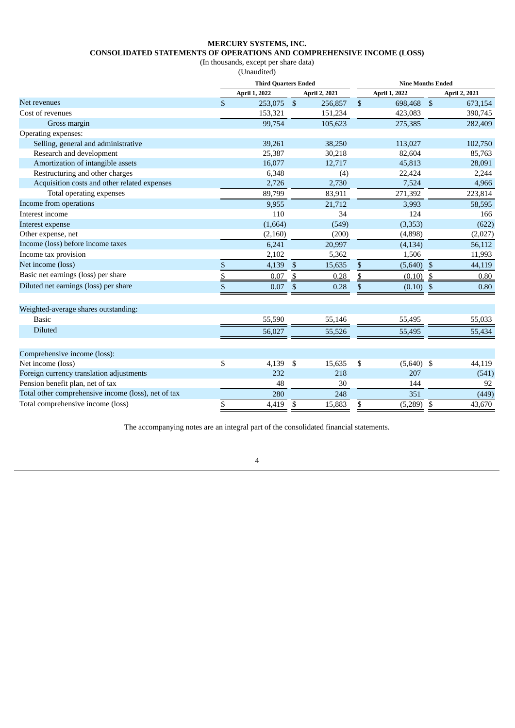# **MERCURY SYSTEMS, INC.**

**CONSOLIDATED STATEMENTS OF OPERATIONS AND COMPREHENSIVE INCOME (LOSS)**

(In thousands, except per share data)

(Unaudited)

|                                                     |               | <b>Third Quarters Ended</b> |                |               |                         | <b>Nine Months Ended</b> |                |               |  |  |  |
|-----------------------------------------------------|---------------|-----------------------------|----------------|---------------|-------------------------|--------------------------|----------------|---------------|--|--|--|
|                                                     |               | April 1, 2022               |                | April 2, 2021 |                         | April 1, 2022            |                | April 2, 2021 |  |  |  |
| Net revenues                                        | $\mathbf{s}$  | 253,075                     | $\sqrt{3}$     | 256,857       | $\mathbb{S}$            | 698,468                  | $\sqrt{5}$     | 673,154       |  |  |  |
| Cost of revenues                                    |               | 153,321                     |                | 151,234       |                         | 423,083                  |                | 390,745       |  |  |  |
| Gross margin                                        |               | 99,754                      |                | 105,623       |                         | 275,385                  |                | 282,409       |  |  |  |
| Operating expenses:                                 |               |                             |                |               |                         |                          |                |               |  |  |  |
| Selling, general and administrative                 |               | 39,261                      |                | 38,250        |                         | 113,027                  |                | 102,750       |  |  |  |
| Research and development                            |               | 25,387                      |                | 30,218        |                         | 82,604                   |                | 85,763        |  |  |  |
| Amortization of intangible assets                   |               | 16,077                      |                | 12,717        |                         | 45,813                   |                | 28,091        |  |  |  |
| Restructuring and other charges                     |               | 6,348                       |                | (4)           |                         | 22,424                   |                | 2,244         |  |  |  |
| Acquisition costs and other related expenses        |               | 2,726                       |                | 2,730         |                         | 7,524                    |                | 4,966         |  |  |  |
| Total operating expenses                            |               | 89,799                      |                | 83,911        |                         | 271,392                  |                | 223,814       |  |  |  |
| Income from operations                              |               | 9,955                       |                | 21,712        |                         | 3,993                    |                | 58,595        |  |  |  |
| Interest income                                     |               | 110                         |                | 34            |                         | 124                      |                | 166           |  |  |  |
| Interest expense                                    |               | (1,664)                     |                | (549)         |                         | (3,353)                  |                | (622)         |  |  |  |
| Other expense, net                                  |               | (2,160)                     |                | (200)         |                         | (4,898)                  |                | (2,027)       |  |  |  |
| Income (loss) before income taxes                   |               | 6,241                       |                | 20,997        |                         | (4, 134)                 |                | 56,112        |  |  |  |
| Income tax provision                                |               | 2,102                       |                | 5,362         |                         | 1,506                    |                | 11,993        |  |  |  |
| Net income (loss)                                   | $\frac{1}{2}$ | 4,139                       | $\overline{v}$ | 15,635        | $\overline{r}$          | (5,640)                  | -\$            | 44,119        |  |  |  |
| Basic net earnings (loss) per share                 | \$            | 0.07                        | $\mathbb{S}$   | 0.28          | $\overline{\mathbb{S}}$ | (0.10)                   | $\mathfrak{S}$ | 0.80          |  |  |  |
| Diluted net earnings (loss) per share               | \$            | 0.07                        | \$             | 0.28          | \$                      | (0.10)                   | - \$           | 0.80          |  |  |  |
| Weighted-average shares outstanding:                |               |                             |                |               |                         |                          |                |               |  |  |  |
| <b>Basic</b>                                        |               | 55,590                      |                | 55,146        |                         | 55,495                   |                | 55,033        |  |  |  |
| <b>Diluted</b>                                      |               | 56,027                      |                | 55,526        |                         | 55,495                   |                | 55,434        |  |  |  |
| Comprehensive income (loss):                        |               |                             |                |               |                         |                          |                |               |  |  |  |
| Net income (loss)                                   | \$            | 4,139                       | \$             | 15,635        | \$                      | $(5,640)$ \$             |                | 44,119        |  |  |  |
| Foreign currency translation adjustments            |               | 232                         |                | 218           |                         | 207                      |                | (541)         |  |  |  |
| Pension benefit plan, net of tax                    |               | 48                          |                | 30            |                         | 144                      |                | 92            |  |  |  |
| Total other comprehensive income (loss), net of tax |               | 280                         |                | 248           |                         | 351                      |                | (449)         |  |  |  |
| Total comprehensive income (loss)                   | \$            | 4.419                       | \$             | 15,883        | \$                      | (5,289)                  | \$             | 43,670        |  |  |  |

<span id="page-3-0"></span>The accompanying notes are an integral part of the consolidated financial statements.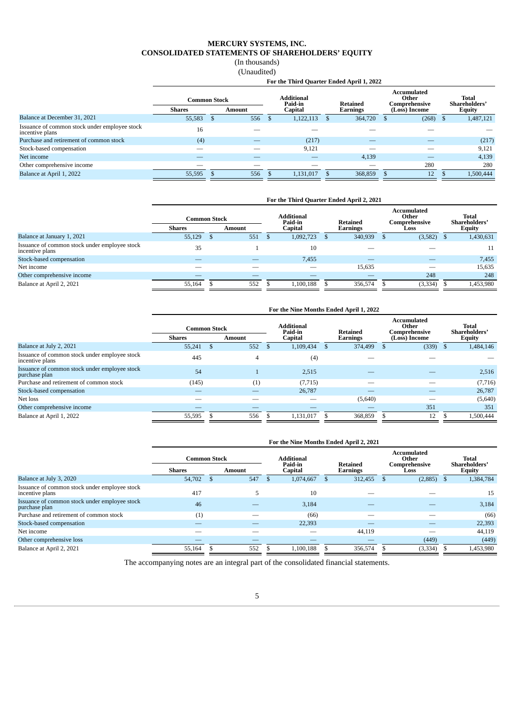# **MERCURY SYSTEMS, INC. CONSOLIDATED STATEMENTS OF SHAREHOLDERS' EQUITY**

(In thousands)

(Unaudited)

|                                                                  |                                                       | For the Third Quarter Ended April 1, 2022 |     |                                         |           |                                    |         |                                                        |            |                                         |           |  |
|------------------------------------------------------------------|-------------------------------------------------------|-------------------------------------------|-----|-----------------------------------------|-----------|------------------------------------|---------|--------------------------------------------------------|------------|-----------------------------------------|-----------|--|
|                                                                  | <b>Common Stock</b><br><b>Shares</b><br><b>Amount</b> |                                           |     | <b>Additional</b><br>Paid-in<br>Capital |           | <b>Retained</b><br><b>Earnings</b> |         | Accumulated<br>Other<br>Comprehensive<br>(Loss) Income |            | Total<br>Shareholders'<br><b>Equity</b> |           |  |
| Balance at December 31, 2021                                     | 55,583                                                |                                           | 556 |                                         | 1,122,113 |                                    | 364,720 |                                                        | $(268)$ \$ |                                         | 1,487,121 |  |
| Issuance of common stock under employee stock<br>incentive plans | 16                                                    |                                           |     |                                         |           |                                    |         |                                                        |            |                                         |           |  |
| Purchase and retirement of common stock                          | (4)                                                   |                                           |     |                                         | (217)     |                                    |         |                                                        |            |                                         | (217)     |  |
| Stock-based compensation                                         | __                                                    |                                           |     |                                         | 9,121     |                                    |         |                                                        |            |                                         | 9,121     |  |
| Net income                                                       |                                                       |                                           |     |                                         |           |                                    | 4,139   |                                                        |            |                                         | 4,139     |  |
| Other comprehensive income                                       |                                                       |                                           |     |                                         |           |                                    |         |                                                        | 280        |                                         | 280       |  |
| Balance at April 1, 2022                                         | 55,595                                                |                                           | 556 |                                         | 1,131,017 |                                    | 368,859 |                                                        | 12         |                                         | 1,500,444 |  |

|                                                                  |                               | For the Third Quarter Ended April 2, 2021 |        |  |                                  |  |                             |  |                                               |  |                                  |  |
|------------------------------------------------------------------|-------------------------------|-------------------------------------------|--------|--|----------------------------------|--|-----------------------------|--|-----------------------------------------------|--|----------------------------------|--|
|                                                                  | Common Stock<br><b>Shares</b> |                                           | Amount |  | Additional<br>Paid-in<br>Capital |  | <b>Retained</b><br>Earnings |  | Accumulated<br>Other<br>Comprehensive<br>Loss |  | Total<br>Shareholders'<br>Equity |  |
| Balance at January 1, 2021                                       | 55,129                        |                                           | 551    |  | 1,092,723                        |  | 340,939                     |  | (3,582)                                       |  | 1,430,631                        |  |
| Issuance of common stock under employee stock<br>incentive plans | 35                            |                                           |        |  | 10                               |  |                             |  |                                               |  | 11                               |  |
| Stock-based compensation                                         | –                             |                                           |        |  | 7,455                            |  | –                           |  |                                               |  | 7,455                            |  |
| Net income                                                       |                               |                                           |        |  |                                  |  | 15.635                      |  |                                               |  | 15,635                           |  |
| Other comprehensive income                                       |                               |                                           |        |  |                                  |  |                             |  | 248                                           |  | 248                              |  |
| Balance at April 2, 2021                                         | 55,164                        |                                           | 552    |  | 1.100.188                        |  | 356,574                     |  | (3, 334)                                      |  | 1,453,980                        |  |

|                                                                  |                                                | For the Nine Months Ended April 1, 2022 |     |                                         |           |                             |         |                                                        |            |                                                |           |  |  |
|------------------------------------------------------------------|------------------------------------------------|-----------------------------------------|-----|-----------------------------------------|-----------|-----------------------------|---------|--------------------------------------------------------|------------|------------------------------------------------|-----------|--|--|
|                                                                  | <b>Common Stock</b><br><b>Shares</b><br>Amount |                                         |     | <b>Additional</b><br>Paid-in<br>Capital |           | <b>Retained</b><br>Earnings |         | Accumulated<br>Other<br>Comprehensive<br>(Loss) Income |            | <b>Total</b><br>Shareholders'<br><b>Equity</b> |           |  |  |
| Balance at July 2, 2021                                          | 55.241                                         | -39                                     | 552 |                                         | 1,109,434 |                             | 374,499 |                                                        | $(339)$ \$ |                                                | 1,484,146 |  |  |
| Issuance of common stock under employee stock<br>incentive plans | 445                                            |                                         | 4   |                                         | (4)       |                             |         |                                                        |            |                                                |           |  |  |
| Issuance of common stock under employee stock<br>purchase plan   | 54                                             |                                         |     |                                         | 2,515     |                             |         |                                                        |            |                                                | 2,516     |  |  |
| Purchase and retirement of common stock                          | (145)                                          |                                         | (1) |                                         | (7, 715)  |                             |         |                                                        |            |                                                | (7,716)   |  |  |
| Stock-based compensation                                         |                                                |                                         |     |                                         | 26,787    |                             |         |                                                        |            |                                                | 26,787    |  |  |
| Net loss                                                         |                                                |                                         |     |                                         |           |                             | (5,640) |                                                        |            |                                                | (5,640)   |  |  |
| Other comprehensive income                                       |                                                |                                         |     |                                         |           |                             |         |                                                        | 351        |                                                | 351       |  |  |
| Balance at April 1, 2022                                         | 55,595                                         |                                         | 556 |                                         | 1,131,017 |                             | 368,859 |                                                        | 12         |                                                | 1.500.444 |  |  |

|                                                                  | For the Nine Months Ended April 2, 2021 |  |        |  |                                         |  |                                    |  |                                               |  |                                                |
|------------------------------------------------------------------|-----------------------------------------|--|--------|--|-----------------------------------------|--|------------------------------------|--|-----------------------------------------------|--|------------------------------------------------|
|                                                                  | <b>Common Stock</b><br><b>Shares</b>    |  | Amount |  | <b>Additional</b><br>Paid-in<br>Capital |  | <b>Retained</b><br><b>Earnings</b> |  | Accumulated<br>Other<br>Comprehensive<br>Loss |  | <b>Total</b><br>Shareholders'<br><b>Equity</b> |
| Balance at July 3, 2020                                          | 54,702                                  |  | 547    |  | 1,074,667                               |  | 312,455                            |  | $(2,885)$ \$                                  |  | 1,384,784                                      |
| Issuance of common stock under employee stock<br>incentive plans | 417                                     |  | 5      |  | 10                                      |  |                                    |  |                                               |  | 15                                             |
| Issuance of common stock under employee stock<br>purchase plan   | 46                                      |  |        |  | 3,184                                   |  |                                    |  |                                               |  | 3,184                                          |
| Purchase and retirement of common stock                          | (1)                                     |  |        |  | (66)                                    |  |                                    |  |                                               |  | (66)                                           |
| Stock-based compensation                                         |                                         |  |        |  | 22,393                                  |  |                                    |  |                                               |  | 22,393                                         |
| Net income                                                       |                                         |  |        |  |                                         |  | 44,119                             |  |                                               |  | 44,119                                         |
| Other comprehensive loss                                         |                                         |  |        |  |                                         |  |                                    |  | (449)                                         |  | (449)                                          |
| Balance at April 2, 2021                                         | 55,164                                  |  | 552    |  | 1,100,188                               |  | 356,574                            |  | (3, 334)                                      |  | 1,453,980                                      |

<span id="page-4-0"></span>The accompanying notes are an integral part of the consolidated financial statements.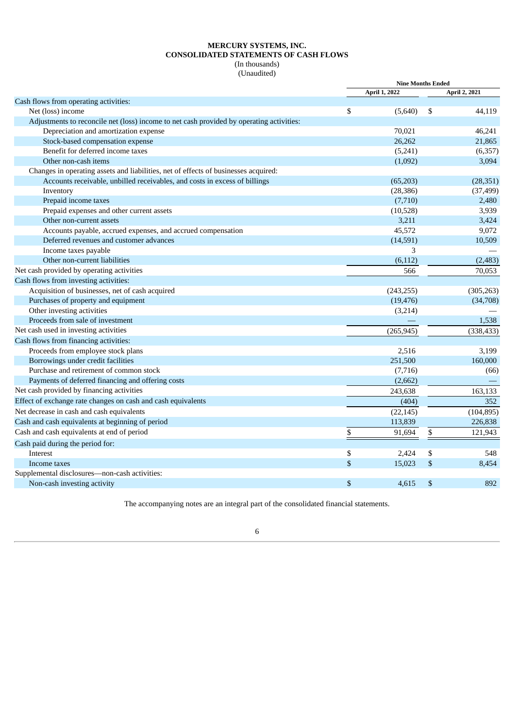## **MERCURY SYSTEMS, INC. CONSOLIDATED STATEMENTS OF CASH FLOWS** (In thousands)

(Unaudited)

|                                                                                          | <b>Nine Months Ended</b> |               |                |               |
|------------------------------------------------------------------------------------------|--------------------------|---------------|----------------|---------------|
|                                                                                          |                          | April 1, 2022 |                | April 2, 2021 |
| Cash flows from operating activities:                                                    |                          |               |                |               |
| Net (loss) income                                                                        | \$                       | (5,640)       | -\$            | 44,119        |
| Adjustments to reconcile net (loss) income to net cash provided by operating activities: |                          |               |                |               |
| Depreciation and amortization expense                                                    |                          | 70,021        |                | 46,241        |
| Stock-based compensation expense                                                         |                          | 26,262        |                | 21,865        |
| Benefit for deferred income taxes                                                        |                          | (5,241)       |                | (6, 357)      |
| Other non-cash items                                                                     |                          | (1,092)       |                | 3,094         |
| Changes in operating assets and liabilities, net of effects of businesses acquired:      |                          |               |                |               |
| Accounts receivable, unbilled receivables, and costs in excess of billings               |                          | (65, 203)     |                | (28, 351)     |
| Inventory                                                                                |                          | (28, 386)     |                | (37, 499)     |
| Prepaid income taxes                                                                     |                          | (7,710)       |                | 2,480         |
| Prepaid expenses and other current assets                                                |                          | (10,528)      |                | 3,939         |
| Other non-current assets                                                                 |                          | 3,211         |                | 3,424         |
| Accounts payable, accrued expenses, and accrued compensation                             |                          | 45,572        |                | 9,072         |
| Deferred revenues and customer advances                                                  |                          | (14,591)      |                | 10,509        |
| Income taxes payable                                                                     |                          | 3             |                |               |
| Other non-current liabilities                                                            |                          | (6, 112)      |                | (2, 483)      |
| Net cash provided by operating activities                                                |                          | 566           |                | 70,053        |
| Cash flows from investing activities:                                                    |                          |               |                |               |
| Acquisition of businesses, net of cash acquired                                          |                          | (243, 255)    |                | (305, 263)    |
| Purchases of property and equipment                                                      |                          | (19, 476)     |                | (34,708)      |
| Other investing activities                                                               |                          | (3,214)       |                |               |
| Proceeds from sale of investment                                                         |                          |               |                | 1,538         |
| Net cash used in investing activities                                                    |                          | (265, 945)    |                | (338, 433)    |
| Cash flows from financing activities:                                                    |                          |               |                |               |
| Proceeds from employee stock plans                                                       |                          | 2,516         |                | 3,199         |
| Borrowings under credit facilities                                                       |                          | 251,500       |                | 160,000       |
| Purchase and retirement of common stock                                                  |                          | (7,716)       |                | (66)          |
| Payments of deferred financing and offering costs                                        |                          | (2,662)       |                |               |
| Net cash provided by financing activities                                                |                          | 243,638       |                | 163,133       |
| Effect of exchange rate changes on cash and cash equivalents                             |                          | (404)         |                | 352           |
| Net decrease in cash and cash equivalents                                                |                          | (22, 145)     |                | (104, 895)    |
| Cash and cash equivalents at beginning of period                                         |                          | 113,839       |                | 226,838       |
| Cash and cash equivalents at end of period                                               | \$                       | 91,694        | \$             | 121,943       |
| Cash paid during the period for:                                                         |                          |               |                |               |
| Interest                                                                                 | \$                       | 2,424         | \$             | 548           |
| Income taxes                                                                             | \$                       | 15,023        | $\mathfrak{S}$ | 8,454         |
| Supplemental disclosures-non-cash activities:                                            |                          |               |                |               |
| Non-cash investing activity                                                              | \$                       | 4.615         | \$             | 892           |

<span id="page-5-0"></span>The accompanying notes are an integral part of the consolidated financial statements.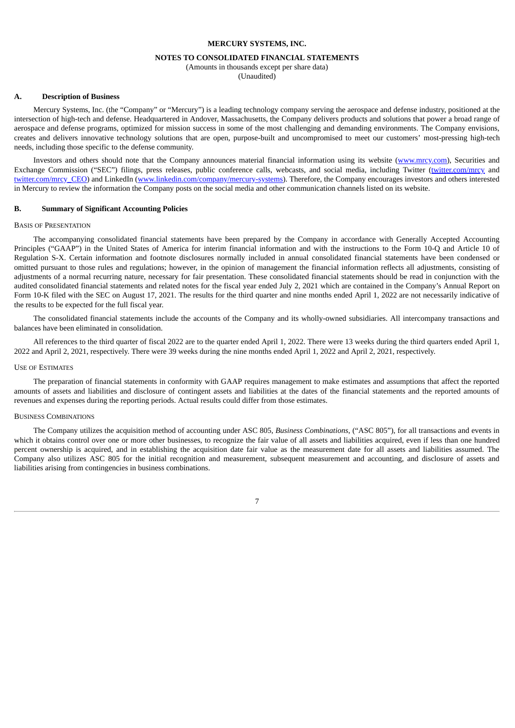## **MERCURY SYSTEMS, INC.**

#### **NOTES TO CONSOLIDATED FINANCIAL STATEMENTS**

(Amounts in thousands except per share data)

(Unaudited)

#### **A. Description of Business**

Mercury Systems, Inc. (the "Company" or "Mercury") is a leading technology company serving the aerospace and defense industry, positioned at the intersection of high-tech and defense. Headquartered in Andover, Massachusetts, the Company delivers products and solutions that power a broad range of aerospace and defense programs, optimized for mission success in some of the most challenging and demanding environments. The Company envisions, creates and delivers innovative technology solutions that are open, purpose-built and uncompromised to meet our customers' most-pressing high-tech needs, including those specific to the defense community.

Investors and others should note that the Company announces material financial information using its website (www.mrcy.com), Securities and Exchange Commission ("SEC") filings, press releases, public conference calls, webcasts, and social media, including Twitter (twitter.com/mrcy and twitter.com/mrcy\_CEO) and LinkedIn (www.linkedin.com/company/mercury-systems). Therefore, the Company encourages investors and others interested in Mercury to review the information the Company posts on the social media and other communication channels listed on its website.

## **B. Summary of Significant Accounting Policies**

#### BASIS OF PRESENTATION

The accompanying consolidated financial statements have been prepared by the Company in accordance with Generally Accepted Accounting Principles ("GAAP") in the United States of America for interim financial information and with the instructions to the Form 10-Q and Article 10 of Regulation S-X. Certain information and footnote disclosures normally included in annual consolidated financial statements have been condensed or omitted pursuant to those rules and regulations; however, in the opinion of management the financial information reflects all adjustments, consisting of adjustments of a normal recurring nature, necessary for fair presentation. These consolidated financial statements should be read in conjunction with the audited consolidated financial statements and related notes for the fiscal year ended July 2, 2021 which are contained in the Company's Annual Report on Form 10-K filed with the SEC on August 17, 2021. The results for the third quarter and nine months ended April 1, 2022 are not necessarily indicative of the results to be expected for the full fiscal year.

The consolidated financial statements include the accounts of the Company and its wholly-owned subsidiaries. All intercompany transactions and balances have been eliminated in consolidation.

All references to the third quarter of fiscal 2022 are to the quarter ended April 1, 2022. There were 13 weeks during the third quarters ended April 1, 2022 and April 2, 2021, respectively. There were 39 weeks during the nine months ended April 1, 2022 and April 2, 2021, respectively.

#### USE OF ESTIMATES

The preparation of financial statements in conformity with GAAP requires management to make estimates and assumptions that affect the reported amounts of assets and liabilities and disclosure of contingent assets and liabilities at the dates of the financial statements and the reported amounts of revenues and expenses during the reporting periods. Actual results could differ from those estimates.

#### BUSINESS COMBINATIONS

The Company utilizes the acquisition method of accounting under ASC 805, *Business Combinations*, ("ASC 805"), for all transactions and events in which it obtains control over one or more other businesses, to recognize the fair value of all assets and liabilities acquired, even if less than one hundred percent ownership is acquired, and in establishing the acquisition date fair value as the measurement date for all assets and liabilities assumed. The Company also utilizes ASC 805 for the initial recognition and measurement, subsequent measurement and accounting, and disclosure of assets and liabilities arising from contingencies in business combinations.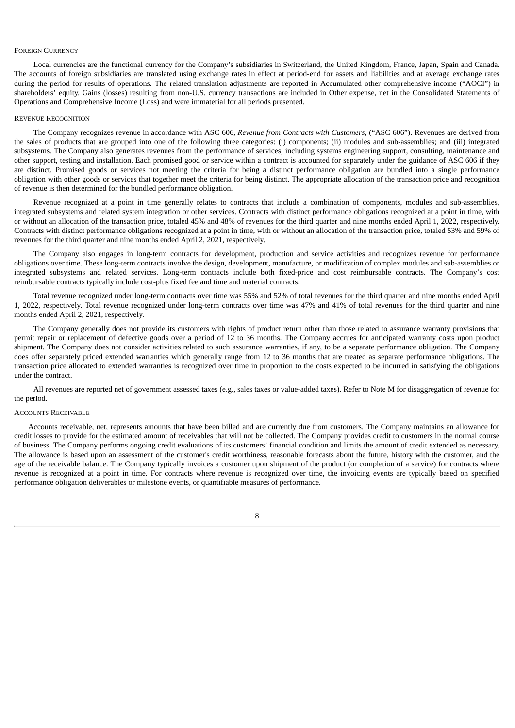#### FOREIGN CURRENCY

Local currencies are the functional currency for the Company's subsidiaries in Switzerland, the United Kingdom, France, Japan, Spain and Canada. The accounts of foreign subsidiaries are translated using exchange rates in effect at period-end for assets and liabilities and at average exchange rates during the period for results of operations. The related translation adjustments are reported in Accumulated other comprehensive income ("AOCI") in shareholders' equity. Gains (losses) resulting from non-U.S. currency transactions are included in Other expense, net in the Consolidated Statements of Operations and Comprehensive Income (Loss) and were immaterial for all periods presented.

#### REVENUE RECOGNITION

The Company recognizes revenue in accordance with ASC 606, *Revenue from Contracts with Customers*, ("ASC 606"). Revenues are derived from the sales of products that are grouped into one of the following three categories: (i) components; (ii) modules and sub-assemblies; and (iii) integrated subsystems. The Company also generates revenues from the performance of services, including systems engineering support, consulting, maintenance and other support, testing and installation. Each promised good or service within a contract is accounted for separately under the guidance of ASC 606 if they are distinct. Promised goods or services not meeting the criteria for being a distinct performance obligation are bundled into a single performance obligation with other goods or services that together meet the criteria for being distinct. The appropriate allocation of the transaction price and recognition of revenue is then determined for the bundled performance obligation.

Revenue recognized at a point in time generally relates to contracts that include a combination of components, modules and sub-assemblies, integrated subsystems and related system integration or other services. Contracts with distinct performance obligations recognized at a point in time, with or without an allocation of the transaction price, totaled 45% and 48% of revenues for the third quarter and nine months ended April 1, 2022, respectively. Contracts with distinct performance obligations recognized at a point in time, with or without an allocation of the transaction price, totaled 53% and 59% of revenues for the third quarter and nine months ended April 2, 2021, respectively.

The Company also engages in long-term contracts for development, production and service activities and recognizes revenue for performance obligations over time. These long-term contracts involve the design, development, manufacture, or modification of complex modules and sub-assemblies or integrated subsystems and related services. Long-term contracts include both fixed-price and cost reimbursable contracts. The Company's cost reimbursable contracts typically include cost-plus fixed fee and time and material contracts.

Total revenue recognized under long-term contracts over time was 55% and 52% of total revenues for the third quarter and nine months ended April 1, 2022, respectively. Total revenue recognized under long-term contracts over time was 47% and 41% of total revenues for the third quarter and nine months ended April 2, 2021, respectively.

The Company generally does not provide its customers with rights of product return other than those related to assurance warranty provisions that permit repair or replacement of defective goods over a period of 12 to 36 months. The Company accrues for anticipated warranty costs upon product shipment. The Company does not consider activities related to such assurance warranties, if any, to be a separate performance obligation. The Company does offer separately priced extended warranties which generally range from 12 to 36 months that are treated as separate performance obligations. The transaction price allocated to extended warranties is recognized over time in proportion to the costs expected to be incurred in satisfying the obligations under the contract.

All revenues are reported net of government assessed taxes (e.g., sales taxes or value-added taxes). Refer to Note M for disaggregation of revenue for the period.

## ACCOUNTS RECEIVABLE

Accounts receivable, net, represents amounts that have been billed and are currently due from customers. The Company maintains an allowance for credit losses to provide for the estimated amount of receivables that will not be collected. The Company provides credit to customers in the normal course of business. The Company performs ongoing credit evaluations of its customers' financial condition and limits the amount of credit extended as necessary. The allowance is based upon an assessment of the customer's credit worthiness, reasonable forecasts about the future, history with the customer, and the age of the receivable balance. The Company typically invoices a customer upon shipment of the product (or completion of a service) for contracts where revenue is recognized at a point in time. For contracts where revenue is recognized over time, the invoicing events are typically based on specified performance obligation deliverables or milestone events, or quantifiable measures of performance.

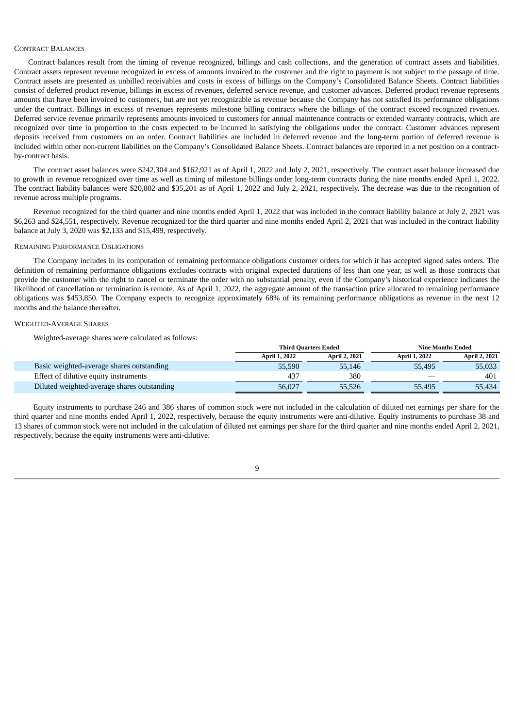#### CONTRACT BALANCES

Contract balances result from the timing of revenue recognized, billings and cash collections, and the generation of contract assets and liabilities. Contract assets represent revenue recognized in excess of amounts invoiced to the customer and the right to payment is not subject to the passage of time. Contract assets are presented as unbilled receivables and costs in excess of billings on the Company's Consolidated Balance Sheets. Contract liabilities consist of deferred product revenue, billings in excess of revenues, deferred service revenue, and customer advances. Deferred product revenue represents amounts that have been invoiced to customers, but are not yet recognizable as revenue because the Company has not satisfied its performance obligations under the contract. Billings in excess of revenues represents milestone billing contracts where the billings of the contract exceed recognized revenues. Deferred service revenue primarily represents amounts invoiced to customers for annual maintenance contracts or extended warranty contracts, which are recognized over time in proportion to the costs expected to be incurred in satisfying the obligations under the contract. Customer advances represent deposits received from customers on an order. Contract liabilities are included in deferred revenue and the long-term portion of deferred revenue is included within other non-current liabilities on the Company's Consolidated Balance Sheets. Contract balances are reported in a net position on a contractby-contract basis.

The contract asset balances were \$242,304 and \$162,921 as of April 1, 2022 and July 2, 2021, respectively. The contract asset balance increased due to growth in revenue recognized over time as well as timing of milestone billings under long-term contracts during the nine months ended April 1, 2022. The contract liability balances were \$20,802 and \$35,201 as of April 1, 2022 and July 2, 2021, respectively. The decrease was due to the recognition of revenue across multiple programs.

Revenue recognized for the third quarter and nine months ended April 1, 2022 that was included in the contract liability balance at July 2, 2021 was \$6,263 and \$24,551, respectively. Revenue recognized for the third quarter and nine months ended April 2, 2021 that was included in the contract liability balance at July 3, 2020 was \$2,133 and \$15,499, respectively.

#### REMAINING PERFORMANCE OBLIGATIONS

The Company includes in its computation of remaining performance obligations customer orders for which it has accepted signed sales orders. The definition of remaining performance obligations excludes contracts with original expected durations of less than one year, as well as those contracts that provide the customer with the right to cancel or terminate the order with no substantial penalty, even if the Company's historical experience indicates the likelihood of cancellation or termination is remote. As of April 1, 2022, the aggregate amount of the transaction price allocated to remaining performance obligations was \$453,850. The Company expects to recognize approximately 68% of its remaining performance obligations as revenue in the next 12 months and the balance thereafter.

#### WEIGHTED-AVERAGE SHARES

Weighted-average shares were calculated as follows:

|                                             |                      | <b>Third Ouarters Ended</b> | Nine Months Ended    |                      |  |  |
|---------------------------------------------|----------------------|-----------------------------|----------------------|----------------------|--|--|
|                                             | <b>April 1, 2022</b> | <b>April 2, 2021</b>        | <b>April 1, 2022</b> | <b>April 2, 2021</b> |  |  |
| Basic weighted-average shares outstanding   | 55,590               | 55,146                      | 55.495               | 55,033               |  |  |
| Effect of dilutive equity instruments       | 437                  | 380                         |                      | 401                  |  |  |
| Diluted weighted-average shares outstanding | 56,027               | 55,526                      | 55,495               | 55,434               |  |  |

Equity instruments to purchase 246 and 386 shares of common stock were not included in the calculation of diluted net earnings per share for the third quarter and nine months ended April 1, 2022, respectively, because the equity instruments were anti-dilutive. Equity instruments to purchase 38 and 13 shares of common stock were not included in the calculation of diluted net earnings per share for the third quarter and nine months ended April 2, 2021, respectively, because the equity instruments were anti-dilutive.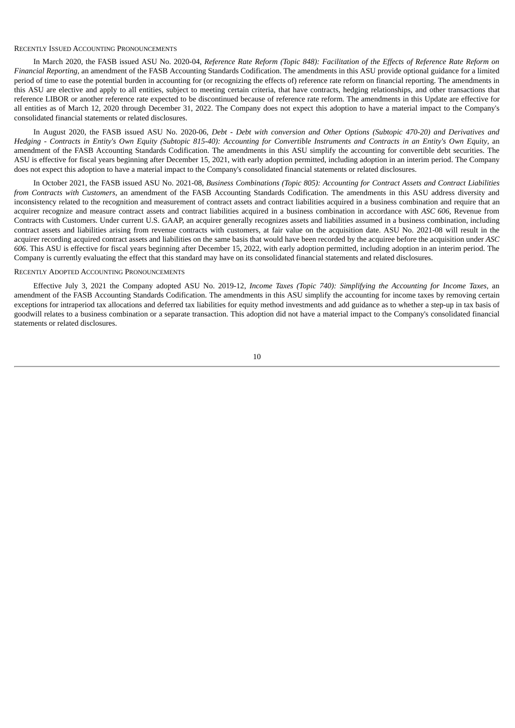#### RECENTLY ISSUED ACCOUNTING PRONOUNCEMENTS

In March 2020, the FASB issued ASU No. 2020-04, Reference Rate Reform (Topic 848): Facilitation of the Effects of Reference Rate Reform on *Financial Reporting,* an amendment of the FASB Accounting Standards Codification. The amendments in this ASU provide optional guidance for a limited period of time to ease the potential burden in accounting for (or recognizing the effects of) reference rate reform on financial reporting. The amendments in this ASU are elective and apply to all entities, subject to meeting certain criteria, that have contracts, hedging relationships, and other transactions that reference LIBOR or another reference rate expected to be discontinued because of reference rate reform. The amendments in this Update are effective for all entities as of March 12, 2020 through December 31, 2022. The Company does not expect this adoption to have a material impact to the Company's consolidated financial statements or related disclosures.

In August 2020, the FASB issued ASU No. 2020-06, *Debt - Debt with conversion and Other Options (Subtopic 470-20) and Derivatives and* Hedging - Contracts in Entity's Own Equity (Subtopic 815-40): Accounting for Convertible Instruments and Contracts in an Entity's Own Equity, an amendment of the FASB Accounting Standards Codification. The amendments in this ASU simplify the accounting for convertible debt securities. The ASU is effective for fiscal years beginning after December 15, 2021, with early adoption permitted, including adoption in an interim period. The Company does not expect this adoption to have a material impact to the Company's consolidated financial statements or related disclosures.

In October 2021, the FASB issued ASU No. 2021-08, *Business Combinations (Topic 805): Accounting for Contract Assets and Contract Liabilities from Contracts with Customers*, an amendment of the FASB Accounting Standards Codification. The amendments in this ASU address diversity and inconsistency related to the recognition and measurement of contract assets and contract liabilities acquired in a business combination and require that an acquirer recognize and measure contract assets and contract liabilities acquired in a business combination in accordance with *ASC 606*, Revenue from Contracts with Customers. Under current U.S. GAAP, an acquirer generally recognizes assets and liabilities assumed in a business combination, including contract assets and liabilities arising from revenue contracts with customers, at fair value on the acquisition date. ASU No. 2021-08 will result in the acquirer recording acquired contract assets and liabilities on the same basis that would have been recorded by the acquiree before the acquisition under *ASC 606*. This ASU is effective for fiscal years beginning after December 15, 2022, with early adoption permitted, including adoption in an interim period. The Company is currently evaluating the effect that this standard may have on its consolidated financial statements and related disclosures.

#### RECENTLY ADOPTED ACCOUNTING PRONOUNCEMENTS

Effective July 3, 2021 the Company adopted ASU No. 2019-12, *Income Taxes (Topic 740): Simplifying the Accounting for Income Taxes,* an amendment of the FASB Accounting Standards Codification. The amendments in this ASU simplify the accounting for income taxes by removing certain exceptions for intraperiod tax allocations and deferred tax liabilities for equity method investments and add guidance as to whether a step-up in tax basis of goodwill relates to a business combination or a separate transaction. This adoption did not have a material impact to the Company's consolidated financial statements or related disclosures.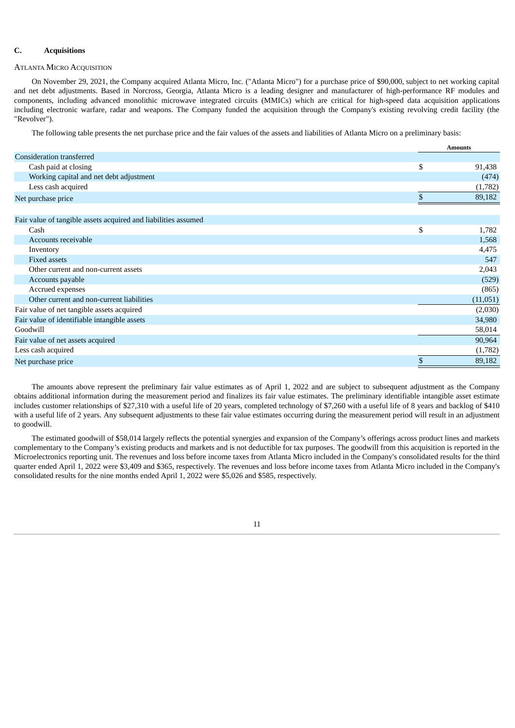#### **C. Acquisitions**

#### ATLANTA MICRO ACQUISITION

On November 29, 2021, the Company acquired Atlanta Micro, Inc. ("Atlanta Micro") for a purchase price of \$90,000, subject to net working capital and net debt adjustments. Based in Norcross, Georgia, Atlanta Micro is a leading designer and manufacturer of high-performance RF modules and components, including advanced monolithic microwave integrated circuits (MMICs) which are critical for high-speed data acquisition applications including electronic warfare, radar and weapons. The Company funded the acquisition through the Company's existing revolving credit facility (the "Revolver").

The following table presents the net purchase price and the fair values of the assets and liabilities of Atlanta Micro on a preliminary basis:

|                                                                | <b>Amounts</b> |
|----------------------------------------------------------------|----------------|
| Consideration transferred                                      |                |
| Cash paid at closing                                           | \$<br>91,438   |
| Working capital and net debt adjustment                        | (474)          |
| Less cash acquired                                             | (1,782)        |
| Net purchase price                                             | 89,182         |
|                                                                |                |
| Fair value of tangible assets acquired and liabilities assumed |                |
| Cash                                                           | \$<br>1,782    |
| Accounts receivable                                            | 1,568          |
| Inventory                                                      | 4,475          |
| <b>Fixed assets</b>                                            | 547            |
| Other current and non-current assets                           | 2,043          |
| Accounts payable                                               | (529)          |
| Accrued expenses                                               | (865)          |
| Other current and non-current liabilities                      | (11,051)       |
| Fair value of net tangible assets acquired                     | (2,030)        |
| Fair value of identifiable intangible assets                   | 34,980         |
| Goodwill                                                       | 58,014         |
| Fair value of net assets acquired                              | 90,964         |
| Less cash acquired                                             | (1,782)        |
| Net purchase price                                             | \$<br>89,182   |

The amounts above represent the preliminary fair value estimates as of April 1, 2022 and are subject to subsequent adjustment as the Company obtains additional information during the measurement period and finalizes its fair value estimates. The preliminary identifiable intangible asset estimate includes customer relationships of \$27,310 with a useful life of 20 years, completed technology of \$7,260 with a useful life of 8 years and backlog of \$410 with a useful life of 2 years. Any subsequent adjustments to these fair value estimates occurring during the measurement period will result in an adjustment to goodwill.

The estimated goodwill of \$58,014 largely reflects the potential synergies and expansion of the Company's offerings across product lines and markets complementary to the Company's existing products and markets and is not deductible for tax purposes. The goodwill from this acquisition is reported in the Microelectronics reporting unit. The revenues and loss before income taxes from Atlanta Micro included in the Company's consolidated results for the third quarter ended April 1, 2022 were \$3,409 and \$365, respectively. The revenues and loss before income taxes from Atlanta Micro included in the Company's consolidated results for the nine months ended April 1, 2022 were \$5,026 and \$585, respectively.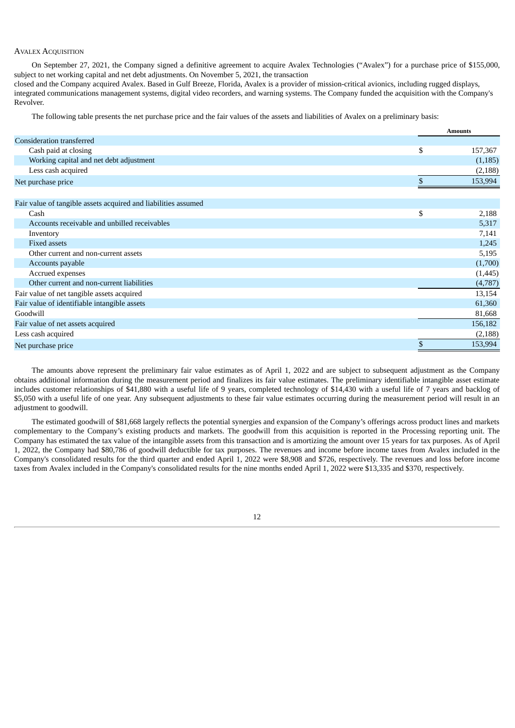## AVALEX ACQUISITION

On September 27, 2021, the Company signed a definitive agreement to acquire Avalex Technologies ("Avalex") for a purchase price of \$155,000, subject to net working capital and net debt adjustments. On November 5, 2021, the transaction

closed and the Company acquired Avalex. Based in Gulf Breeze, Florida, Avalex is a provider of mission-critical avionics, including rugged displays, integrated communications management systems, digital video recorders, and warning systems. The Company funded the acquisition with the Company's Revolver.

The following table presents the net purchase price and the fair values of the assets and liabilities of Avalex on a preliminary basis:

|                                                                | <b>Amounts</b> |
|----------------------------------------------------------------|----------------|
| Consideration transferred                                      |                |
| Cash paid at closing                                           | \$<br>157,367  |
| Working capital and net debt adjustment                        | (1, 185)       |
| Less cash acquired                                             | (2, 188)       |
| Net purchase price                                             | 153,994        |
|                                                                |                |
| Fair value of tangible assets acquired and liabilities assumed |                |
| Cash                                                           | \$<br>2,188    |
| Accounts receivable and unbilled receivables                   | 5,317          |
| Inventory                                                      | 7,141          |
| <b>Fixed assets</b>                                            | 1,245          |
| Other current and non-current assets                           | 5,195          |
| Accounts payable                                               | (1,700)        |
| Accrued expenses                                               | (1, 445)       |
| Other current and non-current liabilities                      | (4,787)        |
| Fair value of net tangible assets acquired                     | 13,154         |
| Fair value of identifiable intangible assets                   | 61,360         |
| Goodwill                                                       | 81,668         |
| Fair value of net assets acquired                              | 156,182        |
| Less cash acquired                                             | (2, 188)       |
| Net purchase price                                             | \$<br>153,994  |

The amounts above represent the preliminary fair value estimates as of April 1, 2022 and are subject to subsequent adjustment as the Company obtains additional information during the measurement period and finalizes its fair value estimates. The preliminary identifiable intangible asset estimate includes customer relationships of \$41,880 with a useful life of 9 years, completed technology of \$14,430 with a useful life of 7 years and backlog of \$5,050 with a useful life of one year. Any subsequent adjustments to these fair value estimates occurring during the measurement period will result in an adjustment to goodwill.

The estimated goodwill of \$81,668 largely reflects the potential synergies and expansion of the Company's offerings across product lines and markets complementary to the Company's existing products and markets. The goodwill from this acquisition is reported in the Processing reporting unit. The Company has estimated the tax value of the intangible assets from this transaction and is amortizing the amount over 15 years for tax purposes. As of April 1, 2022, the Company had \$80,786 of goodwill deductible for tax purposes. The revenues and income before income taxes from Avalex included in the Company's consolidated results for the third quarter and ended April 1, 2022 were \$8,908 and \$726, respectively. The revenues and loss before income taxes from Avalex included in the Company's consolidated results for the nine months ended April 1, 2022 were \$13,335 and \$370, respectively.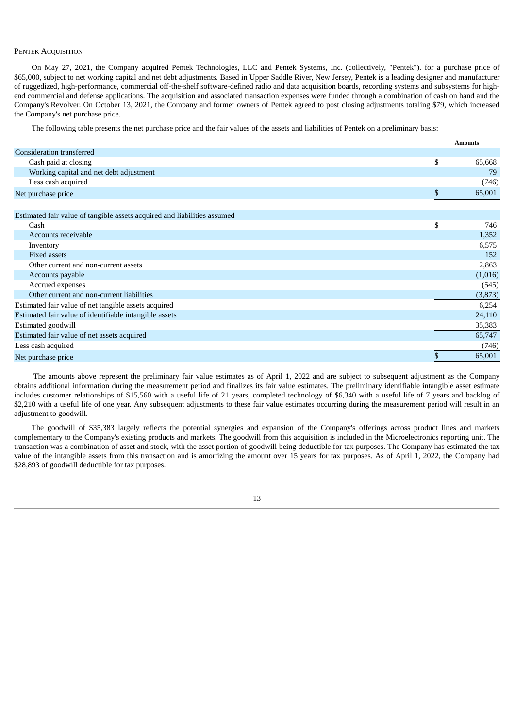## PENTEK ACQUISITION

On May 27, 2021, the Company acquired Pentek Technologies, LLC and Pentek Systems, Inc. (collectively, "Pentek"). for a purchase price of \$65,000, subject to net working capital and net debt adjustments. Based in Upper Saddle River, New Jersey, Pentek is a leading designer and manufacturer of ruggedized, high-performance, commercial off-the-shelf software-defined radio and data acquisition boards, recording systems and subsystems for highend commercial and defense applications. The acquisition and associated transaction expenses were funded through a combination of cash on hand and the Company's Revolver. On October 13, 2021, the Company and former owners of Pentek agreed to post closing adjustments totaling \$79, which increased the Company's net purchase price.

The following table presents the net purchase price and the fair values of the assets and liabilities of Pentek on a preliminary basis:

|                                                                          |     | <b>Amounts</b> |
|--------------------------------------------------------------------------|-----|----------------|
| Consideration transferred                                                |     |                |
| Cash paid at closing                                                     | \$  | 65,668         |
| Working capital and net debt adjustment                                  |     | 79             |
| Less cash acquired                                                       |     | (746)          |
| Net purchase price                                                       |     | 65,001         |
|                                                                          |     |                |
| Estimated fair value of tangible assets acquired and liabilities assumed |     |                |
| Cash                                                                     | \$  | 746            |
| Accounts receivable                                                      |     | 1,352          |
| Inventory                                                                |     | 6,575          |
| <b>Fixed assets</b>                                                      |     | 152            |
| Other current and non-current assets                                     |     | 2,863          |
| Accounts payable                                                         |     | (1,016)        |
| Accrued expenses                                                         |     | (545)          |
| Other current and non-current liabilities                                |     | (3,873)        |
| Estimated fair value of net tangible assets acquired                     |     | 6,254          |
| Estimated fair value of identifiable intangible assets                   |     | 24,110         |
| Estimated goodwill                                                       |     | 35,383         |
| Estimated fair value of net assets acquired                              |     | 65,747         |
| Less cash acquired                                                       |     | (746)          |
| Net purchase price                                                       | \$. | 65,001         |

The amounts above represent the preliminary fair value estimates as of April 1, 2022 and are subject to subsequent adjustment as the Company obtains additional information during the measurement period and finalizes its fair value estimates. The preliminary identifiable intangible asset estimate includes customer relationships of \$15,560 with a useful life of 21 years, completed technology of \$6,340 with a useful life of 7 years and backlog of \$2,210 with a useful life of one year. Any subsequent adjustments to these fair value estimates occurring during the measurement period will result in an adjustment to goodwill.

The goodwill of \$35,383 largely reflects the potential synergies and expansion of the Company's offerings across product lines and markets complementary to the Company's existing products and markets. The goodwill from this acquisition is included in the Microelectronics reporting unit. The transaction was a combination of asset and stock, with the asset portion of goodwill being deductible for tax purposes. The Company has estimated the tax value of the intangible assets from this transaction and is amortizing the amount over 15 years for tax purposes. As of April 1, 2022, the Company had \$28,893 of goodwill deductible for tax purposes.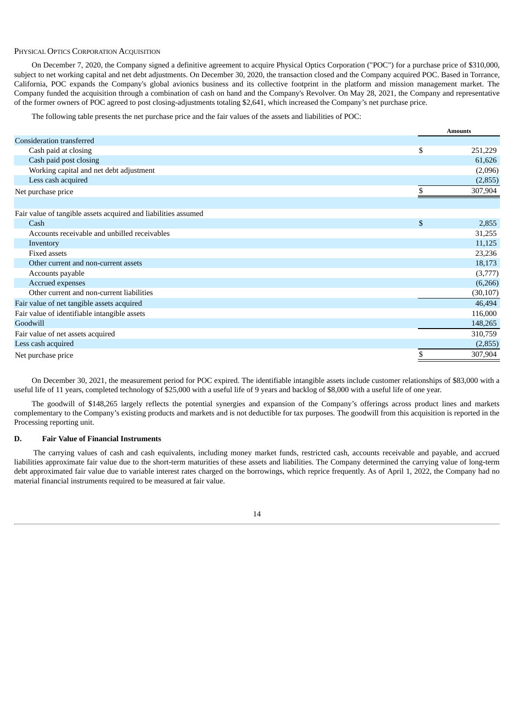## PHYSICAL OPTICS CORPORATION ACQUISITION

On December 7, 2020, the Company signed a definitive agreement to acquire Physical Optics Corporation ("POC") for a purchase price of \$310,000, subject to net working capital and net debt adjustments. On December 30, 2020, the transaction closed and the Company acquired POC. Based in Torrance, California, POC expands the Company's global avionics business and its collective footprint in the platform and mission management market. The Company funded the acquisition through a combination of cash on hand and the Company's Revolver. On May 28, 2021, the Company and representative of the former owners of POC agreed to post closing-adjustments totaling \$2,641, which increased the Company's net purchase price.

The following table presents the net purchase price and the fair values of the assets and liabilities of POC:

|                                                                | <b>Amounts</b> |
|----------------------------------------------------------------|----------------|
| Consideration transferred                                      |                |
| Cash paid at closing                                           | \$<br>251,229  |
| Cash paid post closing                                         | 61,626         |
| Working capital and net debt adjustment                        | (2,096)        |
| Less cash acquired                                             | (2,855)        |
| Net purchase price                                             | 307,904        |
|                                                                |                |
| Fair value of tangible assets acquired and liabilities assumed |                |
| Cash                                                           | \$<br>2,855    |
| Accounts receivable and unbilled receivables                   | 31,255         |
| Inventory                                                      | 11,125         |
| <b>Fixed assets</b>                                            | 23,236         |
| Other current and non-current assets                           | 18,173         |
| Accounts payable                                               | (3,777)        |
| Accrued expenses                                               | (6,266)        |
| Other current and non-current liabilities                      | (30, 107)      |
| Fair value of net tangible assets acquired                     | 46,494         |
| Fair value of identifiable intangible assets                   | 116,000        |
| Goodwill                                                       | 148,265        |
| Fair value of net assets acquired                              | 310,759        |
| Less cash acquired                                             | (2,855)        |
| Net purchase price                                             | 307,904        |

On December 30, 2021, the measurement period for POC expired. The identifiable intangible assets include customer relationships of \$83,000 with a useful life of 11 years, completed technology of \$25,000 with a useful life of 9 years and backlog of \$8,000 with a useful life of one year.

The goodwill of \$148,265 largely reflects the potential synergies and expansion of the Company's offerings across product lines and markets complementary to the Company's existing products and markets and is not deductible for tax purposes. The goodwill from this acquisition is reported in the Processing reporting unit.

## **D. Fair Value of Financial Instruments**

The carrying values of cash and cash equivalents, including money market funds, restricted cash, accounts receivable and payable, and accrued liabilities approximate fair value due to the short-term maturities of these assets and liabilities. The Company determined the carrying value of long-term debt approximated fair value due to variable interest rates charged on the borrowings, which reprice frequently. As of April 1, 2022, the Company had no material financial instruments required to be measured at fair value.

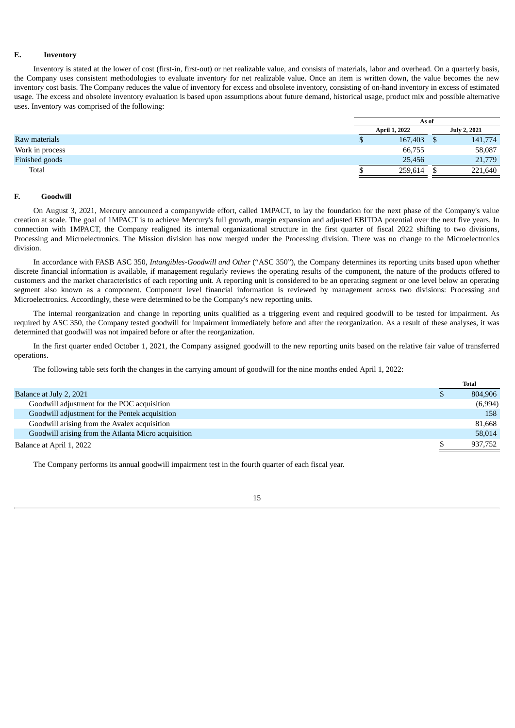## **E. Inventory**

Inventory is stated at the lower of cost (first-in, first-out) or net realizable value, and consists of materials, labor and overhead. On a quarterly basis, the Company uses consistent methodologies to evaluate inventory for net realizable value. Once an item is written down, the value becomes the new inventory cost basis. The Company reduces the value of inventory for excess and obsolete inventory, consisting of on-hand inventory in excess of estimated usage. The excess and obsolete inventory evaluation is based upon assumptions about future demand, historical usage, product mix and possible alternative uses. Inventory was comprised of the following:

|                 |   | As of                |  |                     |  |  |
|-----------------|---|----------------------|--|---------------------|--|--|
|                 |   | <b>April 1, 2022</b> |  | <b>July 2, 2021</b> |  |  |
| Raw materials   | D | 167,403              |  | 141,774             |  |  |
| Work in process |   | 66,755               |  | 58,087              |  |  |
| Finished goods  |   | 25,456               |  | 21,779              |  |  |
| Total           |   | 259,614              |  | 221,640             |  |  |

### **F. Goodwill**

On August 3, 2021, Mercury announced a companywide effort, called 1MPACT, to lay the foundation for the next phase of the Company's value creation at scale. The goal of 1MPACT is to achieve Mercury's full growth, margin expansion and adjusted EBITDA potential over the next five years. In connection with 1MPACT, the Company realigned its internal organizational structure in the first quarter of fiscal 2022 shifting to two divisions, Processing and Microelectronics. The Mission division has now merged under the Processing division. There was no change to the Microelectronics division.

In accordance with FASB ASC 350, *Intangibles-Goodwill and Other* ("ASC 350"), the Company determines its reporting units based upon whether discrete financial information is available, if management regularly reviews the operating results of the component, the nature of the products offered to customers and the market characteristics of each reporting unit. A reporting unit is considered to be an operating segment or one level below an operating segment also known as a component. Component level financial information is reviewed by management across two divisions: Processing and Microelectronics. Accordingly, these were determined to be the Company's new reporting units.

The internal reorganization and change in reporting units qualified as a triggering event and required goodwill to be tested for impairment. As required by ASC 350, the Company tested goodwill for impairment immediately before and after the reorganization. As a result of these analyses, it was determined that goodwill was not impaired before or after the reorganization.

In the first quarter ended October 1, 2021, the Company assigned goodwill to the new reporting units based on the relative fair value of transferred operations.

The following table sets forth the changes in the carrying amount of goodwill for the nine months ended April 1, 2022:

|                                                     | <b>Total</b> |
|-----------------------------------------------------|--------------|
| Balance at July 2, 2021                             | 804,906      |
| Goodwill adjustment for the POC acquisition         | (6,994)      |
| Goodwill adjustment for the Pentek acquisition      | 158          |
| Goodwill arising from the Avalex acquisition        | 81,668       |
| Goodwill arising from the Atlanta Micro acquisition | 58,014       |
| Balance at April 1, 2022                            | 937,752      |

The Company performs its annual goodwill impairment test in the fourth quarter of each fiscal year.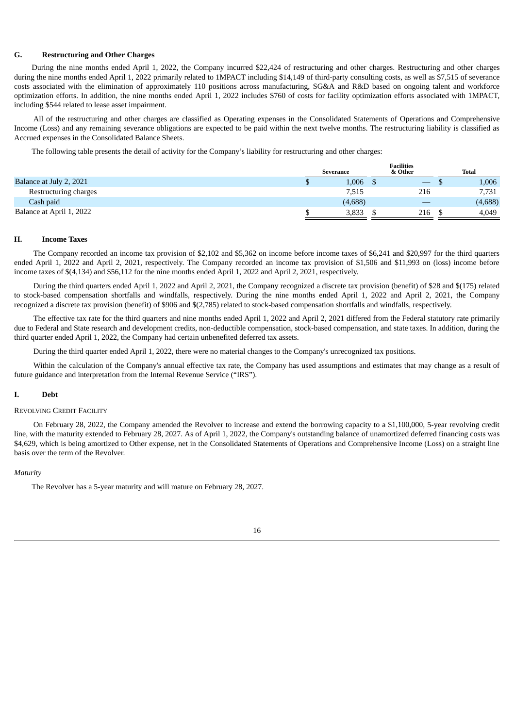#### **G. Restructuring and Other Charges**

During the nine months ended April 1, 2022, the Company incurred \$22,424 of restructuring and other charges. Restructuring and other charges during the nine months ended April 1, 2022 primarily related to 1MPACT including \$14,149 of third-party consulting costs, as well as \$7,515 of severance costs associated with the elimination of approximately 110 positions across manufacturing, SG&A and R&D based on ongoing talent and workforce optimization efforts. In addition, the nine months ended April 1, 2022 includes \$760 of costs for facility optimization efforts associated with 1MPACT, including \$544 related to lease asset impairment.

All of the restructuring and other charges are classified as Operating expenses in the Consolidated Statements of Operations and Comprehensive Income (Loss) and any remaining severance obligations are expected to be paid within the next twelve months. The restructuring liability is classified as Accrued expenses in the Consolidated Balance Sheets.

The following table presents the detail of activity for the Company's liability for restructuring and other charges:

|                          | <b>Severance</b> | гасшиез<br>& Other | <b>Total</b> |
|--------------------------|------------------|--------------------|--------------|
| Balance at July 2, 2021  | 1,006            |                    | 1,006        |
| Restructuring charges    | 7,515            | 216                | 7,731        |
| Cash paid                | (4,688)          | _                  | (4,688)      |
| Balance at April 1, 2022 | 3,833            | 216                | 4,049        |

**Facilities**

## **H. Income Taxes**

The Company recorded an income tax provision of \$2,102 and \$5,362 on income before income taxes of \$6,241 and \$20,997 for the third quarters ended April 1, 2022 and April 2, 2021, respectively. The Company recorded an income tax provision of \$1,506 and \$11,993 on (loss) income before income taxes of \$(4,134) and \$56,112 for the nine months ended April 1, 2022 and April 2, 2021, respectively.

During the third quarters ended April 1, 2022 and April 2, 2021, the Company recognized a discrete tax provision (benefit) of \$28 and \$(175) related to stock-based compensation shortfalls and windfalls, respectively. During the nine months ended April 1, 2022 and April 2, 2021, the Company recognized a discrete tax provision (benefit) of \$906 and \$(2,785) related to stock-based compensation shortfalls and windfalls, respectively.

The effective tax rate for the third quarters and nine months ended April 1, 2022 and April 2, 2021 differed from the Federal statutory rate primarily due to Federal and State research and development credits, non-deductible compensation, stock-based compensation, and state taxes. In addition, during the third quarter ended April 1, 2022, the Company had certain unbenefited deferred tax assets.

During the third quarter ended April 1, 2022, there were no material changes to the Company's unrecognized tax positions.

Within the calculation of the Company's annual effective tax rate, the Company has used assumptions and estimates that may change as a result of future guidance and interpretation from the Internal Revenue Service ("IRS").

#### **I. Debt**

### REVOLVING CREDIT FACILITY

On February 28, 2022, the Company amended the Revolver to increase and extend the borrowing capacity to a \$1,100,000, 5-year revolving credit line, with the maturity extended to February 28, 2027. As of April 1, 2022, the Company's outstanding balance of unamortized deferred financing costs was \$4,629, which is being amortized to Other expense, net in the Consolidated Statements of Operations and Comprehensive Income (Loss) on a straight line basis over the term of the Revolver.

#### *Maturity*

The Revolver has a 5-year maturity and will mature on February 28, 2027.

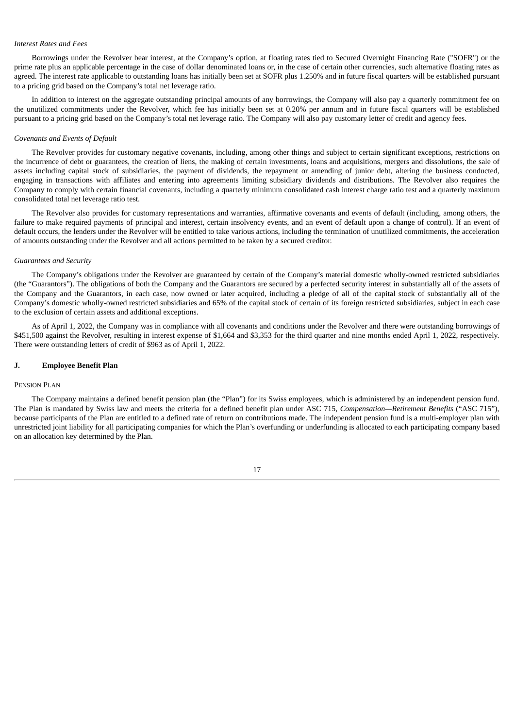## *Interest Rates and Fees*

Borrowings under the Revolver bear interest, at the Company's option, at floating rates tied to Secured Overnight Financing Rate ("SOFR") or the prime rate plus an applicable percentage in the case of dollar denominated loans or, in the case of certain other currencies, such alternative floating rates as agreed. The interest rate applicable to outstanding loans has initially been set at SOFR plus 1.250% and in future fiscal quarters will be established pursuant to a pricing grid based on the Company's total net leverage ratio.

In addition to interest on the aggregate outstanding principal amounts of any borrowings, the Company will also pay a quarterly commitment fee on the unutilized commitments under the Revolver, which fee has initially been set at 0.20% per annum and in future fiscal quarters will be established pursuant to a pricing grid based on the Company's total net leverage ratio. The Company will also pay customary letter of credit and agency fees.

### *Covenants and Events of Default*

The Revolver provides for customary negative covenants, including, among other things and subject to certain significant exceptions, restrictions on the incurrence of debt or guarantees, the creation of liens, the making of certain investments, loans and acquisitions, mergers and dissolutions, the sale of assets including capital stock of subsidiaries, the payment of dividends, the repayment or amending of junior debt, altering the business conducted, engaging in transactions with affiliates and entering into agreements limiting subsidiary dividends and distributions. The Revolver also requires the Company to comply with certain financial covenants, including a quarterly minimum consolidated cash interest charge ratio test and a quarterly maximum consolidated total net leverage ratio test.

The Revolver also provides for customary representations and warranties, affirmative covenants and events of default (including, among others, the failure to make required payments of principal and interest, certain insolvency events, and an event of default upon a change of control). If an event of default occurs, the lenders under the Revolver will be entitled to take various actions, including the termination of unutilized commitments, the acceleration of amounts outstanding under the Revolver and all actions permitted to be taken by a secured creditor.

### *Guarantees and Security*

The Company's obligations under the Revolver are guaranteed by certain of the Company's material domestic wholly-owned restricted subsidiaries (the "Guarantors"). The obligations of both the Company and the Guarantors are secured by a perfected security interest in substantially all of the assets of the Company and the Guarantors, in each case, now owned or later acquired, including a pledge of all of the capital stock of substantially all of the Company's domestic wholly-owned restricted subsidiaries and 65% of the capital stock of certain of its foreign restricted subsidiaries, subject in each case to the exclusion of certain assets and additional exceptions.

As of April 1, 2022, the Company was in compliance with all covenants and conditions under the Revolver and there were outstanding borrowings of \$451,500 against the Revolver, resulting in interest expense of \$1,664 and \$3,353 for the third quarter and nine months ended April 1, 2022, respectively. There were outstanding letters of credit of \$963 as of April 1, 2022.

#### **J. Employee Benefit Plan**

#### PENSION PLAN

The Company maintains a defined benefit pension plan (the "Plan") for its Swiss employees, which is administered by an independent pension fund. The Plan is mandated by Swiss law and meets the criteria for a defined benefit plan under ASC 715, *Compensation—Retirement Benefits* ("ASC 715"), because participants of the Plan are entitled to a defined rate of return on contributions made. The independent pension fund is a multi-employer plan with unrestricted joint liability for all participating companies for which the Plan's overfunding or underfunding is allocated to each participating company based on an allocation key determined by the Plan.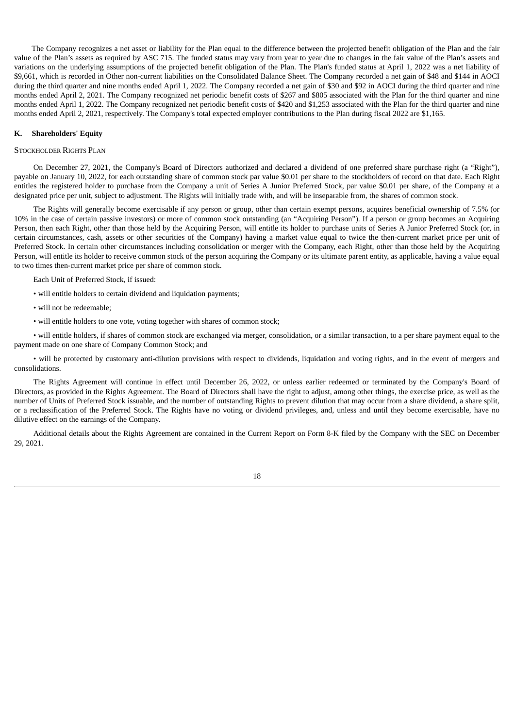The Company recognizes a net asset or liability for the Plan equal to the difference between the projected benefit obligation of the Plan and the fair value of the Plan's assets as required by ASC 715. The funded status may vary from year to year due to changes in the fair value of the Plan's assets and variations on the underlying assumptions of the projected benefit obligation of the Plan. The Plan's funded status at April 1, 2022 was a net liability of \$9,661, which is recorded in Other non-current liabilities on the Consolidated Balance Sheet. The Company recorded a net gain of \$48 and \$144 in AOCI during the third quarter and nine months ended April 1, 2022. The Company recorded a net gain of \$30 and \$92 in AOCI during the third quarter and nine months ended April 2, 2021. The Company recognized net periodic benefit costs of \$267 and \$805 associated with the Plan for the third quarter and nine months ended April 1, 2022. The Company recognized net periodic benefit costs of \$420 and \$1,253 associated with the Plan for the third quarter and nine months ended April 2, 2021, respectively. The Company's total expected employer contributions to the Plan during fiscal 2022 are \$1,165.

#### **K. Shareholders' Equity**

## STOCKHOLDER RIGHTS PLAN

On December 27, 2021, the Company's Board of Directors authorized and declared a dividend of one preferred share purchase right (a "Right"), payable on January 10, 2022, for each outstanding share of common stock par value \$0.01 per share to the stockholders of record on that date. Each Right entitles the registered holder to purchase from the Company a unit of Series A Junior Preferred Stock, par value \$0.01 per share, of the Company at a designated price per unit, subject to adjustment. The Rights will initially trade with, and will be inseparable from, the shares of common stock.

The Rights will generally become exercisable if any person or group, other than certain exempt persons, acquires beneficial ownership of 7.5% (or 10% in the case of certain passive investors) or more of common stock outstanding (an "Acquiring Person"). If a person or group becomes an Acquiring Person, then each Right, other than those held by the Acquiring Person, will entitle its holder to purchase units of Series A Junior Preferred Stock (or, in certain circumstances, cash, assets or other securities of the Company) having a market value equal to twice the then-current market price per unit of Preferred Stock. In certain other circumstances including consolidation or merger with the Company, each Right, other than those held by the Acquiring Person, will entitle its holder to receive common stock of the person acquiring the Company or its ultimate parent entity, as applicable, having a value equal to two times then-current market price per share of common stock.

Each Unit of Preferred Stock, if issued:

- will entitle holders to certain dividend and liquidation payments;
- will not be redeemable;
- will entitle holders to one vote, voting together with shares of common stock;

• will entitle holders, if shares of common stock are exchanged via merger, consolidation, or a similar transaction, to a per share payment equal to the payment made on one share of Company Common Stock; and

• will be protected by customary anti-dilution provisions with respect to dividends, liquidation and voting rights, and in the event of mergers and consolidations.

The Rights Agreement will continue in effect until December 26, 2022, or unless earlier redeemed or terminated by the Company's Board of Directors, as provided in the Rights Agreement. The Board of Directors shall have the right to adjust, among other things, the exercise price, as well as the number of Units of Preferred Stock issuable, and the number of outstanding Rights to prevent dilution that may occur from a share dividend, a share split, or a reclassification of the Preferred Stock. The Rights have no voting or dividend privileges, and, unless and until they become exercisable, have no dilutive effect on the earnings of the Company.

Additional details about the Rights Agreement are contained in the Current Report on Form 8-K filed by the Company with the SEC on December 29, 2021.

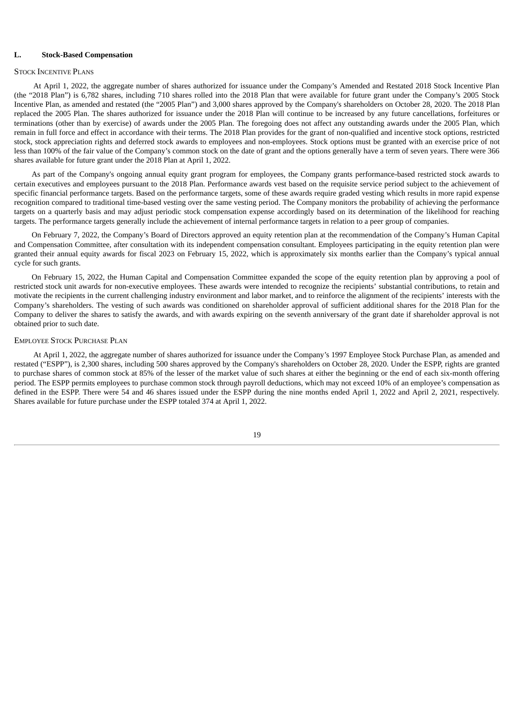#### **L. Stock-Based Compensation**

## STOCK INCENTIVE PLANS

At April 1, 2022, the aggregate number of shares authorized for issuance under the Company's Amended and Restated 2018 Stock Incentive Plan (the "2018 Plan") is 6,782 shares, including 710 shares rolled into the 2018 Plan that were available for future grant under the Company's 2005 Stock Incentive Plan, as amended and restated (the "2005 Plan") and 3,000 shares approved by the Company's shareholders on October 28, 2020. The 2018 Plan replaced the 2005 Plan. The shares authorized for issuance under the 2018 Plan will continue to be increased by any future cancellations, forfeitures or terminations (other than by exercise) of awards under the 2005 Plan. The foregoing does not affect any outstanding awards under the 2005 Plan, which remain in full force and effect in accordance with their terms. The 2018 Plan provides for the grant of non-qualified and incentive stock options, restricted stock, stock appreciation rights and deferred stock awards to employees and non-employees. Stock options must be granted with an exercise price of not less than 100% of the fair value of the Company's common stock on the date of grant and the options generally have a term of seven years. There were 366 shares available for future grant under the 2018 Plan at April 1, 2022.

As part of the Company's ongoing annual equity grant program for employees, the Company grants performance-based restricted stock awards to certain executives and employees pursuant to the 2018 Plan. Performance awards vest based on the requisite service period subject to the achievement of specific financial performance targets. Based on the performance targets, some of these awards require graded vesting which results in more rapid expense recognition compared to traditional time-based vesting over the same vesting period. The Company monitors the probability of achieving the performance targets on a quarterly basis and may adjust periodic stock compensation expense accordingly based on its determination of the likelihood for reaching targets. The performance targets generally include the achievement of internal performance targets in relation to a peer group of companies.

On February 7, 2022, the Company's Board of Directors approved an equity retention plan at the recommendation of the Company's Human Capital and Compensation Committee, after consultation with its independent compensation consultant. Employees participating in the equity retention plan were granted their annual equity awards for fiscal 2023 on February 15, 2022, which is approximately six months earlier than the Company's typical annual cycle for such grants.

On February 15, 2022, the Human Capital and Compensation Committee expanded the scope of the equity retention plan by approving a pool of restricted stock unit awards for non-executive employees. These awards were intended to recognize the recipients' substantial contributions, to retain and motivate the recipients in the current challenging industry environment and labor market, and to reinforce the alignment of the recipients' interests with the Company's shareholders. The vesting of such awards was conditioned on shareholder approval of sufficient additional shares for the 2018 Plan for the Company to deliver the shares to satisfy the awards, and with awards expiring on the seventh anniversary of the grant date if shareholder approval is not obtained prior to such date.

#### EMPLOYEE STOCK PURCHASE PLAN

At April 1, 2022, the aggregate number of shares authorized for issuance under the Company's 1997 Employee Stock Purchase Plan, as amended and restated ("ESPP"), is 2,300 shares, including 500 shares approved by the Company's shareholders on October 28, 2020. Under the ESPP, rights are granted to purchase shares of common stock at 85% of the lesser of the market value of such shares at either the beginning or the end of each six-month offering period. The ESPP permits employees to purchase common stock through payroll deductions, which may not exceed 10% of an employee's compensation as defined in the ESPP. There were 54 and 46 shares issued under the ESPP during the nine months ended April 1, 2022 and April 2, 2021, respectively. Shares available for future purchase under the ESPP totaled 374 at April 1, 2022.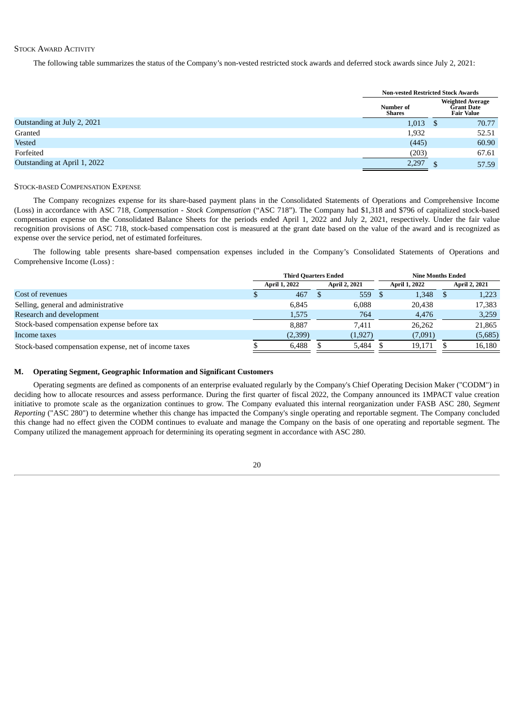## STOCK AWARD ACTIVITY

The following table summarizes the status of the Company's non-vested restricted stock awards and deferred stock awards since July 2, 2021:

|                              | <b>Non-vested Restricted Stock Awards</b> |    |                                                                   |
|------------------------------|-------------------------------------------|----|-------------------------------------------------------------------|
|                              | Number of<br>Shares                       |    | <b>Weighted Average</b><br><b>Grant Date</b><br><b>Fair Value</b> |
| Outstanding at July 2, 2021  | 1,013                                     | -S | 70.77                                                             |
| Granted                      | 1,932                                     |    | 52.51                                                             |
| <b>Vested</b>                | (445)                                     |    | 60.90                                                             |
| Forfeited                    | (203)                                     |    | 67.61                                                             |
| Outstanding at April 1, 2022 | 2,297                                     |    | 57.59                                                             |

#### STOCK-BASED COMPENSATION EXPENSE

The Company recognizes expense for its share-based payment plans in the Consolidated Statements of Operations and Comprehensive Income (Loss) in accordance with ASC 718, *Compensation - Stock Compensation* ("ASC 718"). The Company had \$1,318 and \$796 of capitalized stock-based compensation expense on the Consolidated Balance Sheets for the periods ended April 1, 2022 and July 2, 2021, respectively. Under the fair value recognition provisions of ASC 718, stock-based compensation cost is measured at the grant date based on the value of the award and is recognized as expense over the service period, net of estimated forfeitures.

The following table presents share-based compensation expenses included in the Company's Consolidated Statements of Operations and Comprehensive Income (Loss) :

|                                                       | <b>Third Quarters Ended</b> |                      |  | <b>Nine Months Ended</b> |     |                      |      |                      |
|-------------------------------------------------------|-----------------------------|----------------------|--|--------------------------|-----|----------------------|------|----------------------|
|                                                       |                             | <b>April 1, 2022</b> |  | <b>April 2, 2021</b>     |     | <b>April 1, 2022</b> |      | <b>April 2, 2021</b> |
| Cost of revenues                                      |                             | 467                  |  | 559                      | - S | 1,348                | - 76 | 1,223                |
| Selling, general and administrative                   |                             | 6.845                |  | 6.088                    |     | 20.438               |      | 17,383               |
| Research and development                              |                             | 1,575                |  | 764                      |     | 4,476                |      | 3,259                |
| Stock-based compensation expense before tax           |                             | 8.887                |  | 7.411                    |     | 26.262               |      | 21,865               |
| Income taxes                                          |                             | (2,399)              |  | (1,927)                  |     | (7,091)              |      | (5,685)              |
| Stock-based compensation expense, net of income taxes |                             | 6,488                |  | 5,484                    |     | 19.171               |      | 16,180               |

## **M. Operating Segment, Geographic Information and Significant Customers**

Operating segments are defined as components of an enterprise evaluated regularly by the Company's Chief Operating Decision Maker ("CODM") in deciding how to allocate resources and assess performance. During the first quarter of fiscal 2022, the Company announced its 1MPACT value creation initiative to promote scale as the organization continues to grow. The Company evaluated this internal reorganization under FASB ASC 280, *Segment Reporting* ("ASC 280") to determine whether this change has impacted the Company's single operating and reportable segment. The Company concluded this change had no effect given the CODM continues to evaluate and manage the Company on the basis of one operating and reportable segment. The Company utilized the management approach for determining its operating segment in accordance with ASC 280.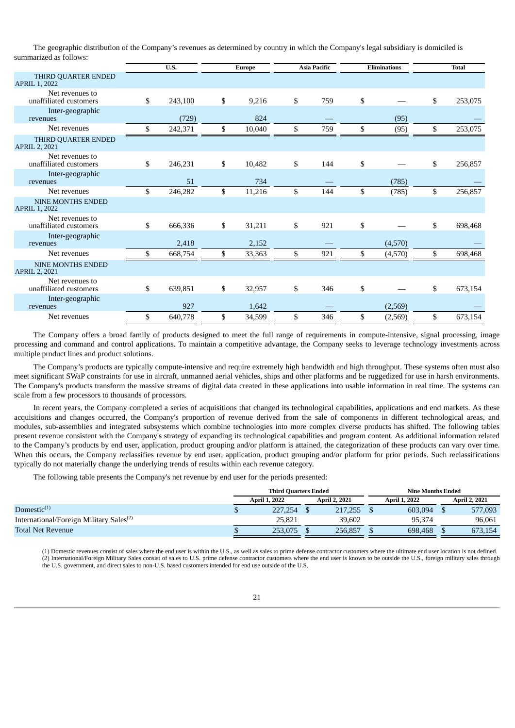The geographic distribution of the Company's revenues as determined by country in which the Company's legal subsidiary is domiciled is summarized as follows:

|                                                  | U.S.          | <b>Europe</b> |        | <b>Asia Pacific</b><br><b>Eliminations</b> |     |    |         |               |  | <b>Total</b> |
|--------------------------------------------------|---------------|---------------|--------|--------------------------------------------|-----|----|---------|---------------|--|--------------|
| THIRD QUARTER ENDED<br>APRIL 1, 2022             |               |               |        |                                            |     |    |         |               |  |              |
| Net revenues to<br>unaffiliated customers        | \$<br>243,100 | \$            | 9,216  | \$                                         | 759 | \$ |         | \$<br>253,075 |  |              |
| Inter-geographic<br>revenues                     | (729)         |               | 824    |                                            |     |    | (95)    |               |  |              |
| Net revenues                                     | \$<br>242,371 | \$            | 10,040 | \$                                         | 759 | \$ | (95)    | \$<br>253,075 |  |              |
| THIRD QUARTER ENDED<br><b>APRIL 2, 2021</b>      |               |               |        |                                            |     |    |         |               |  |              |
| Net revenues to<br>unaffiliated customers        | \$<br>246,231 | \$            | 10,482 | \$                                         | 144 | \$ |         | \$<br>256,857 |  |              |
| Inter-geographic<br>revenues                     | 51            |               | 734    |                                            |     |    | (785)   |               |  |              |
| Net revenues                                     | \$<br>246,282 | \$            | 11,216 | \$                                         | 144 | \$ | (785)   | \$<br>256,857 |  |              |
| <b>NINE MONTHS ENDED</b><br>APRIL 1, 2022        |               |               |        |                                            |     |    |         |               |  |              |
| Net revenues to<br>unaffiliated customers        | \$<br>666,336 | \$            | 31,211 | \$                                         | 921 | \$ |         | \$<br>698,468 |  |              |
| Inter-geographic<br>revenues                     | 2,418         |               | 2,152  |                                            |     |    | (4,570) |               |  |              |
| Net revenues                                     | \$<br>668,754 | \$            | 33,363 | \$                                         | 921 | \$ | (4,570) | \$<br>698,468 |  |              |
| <b>NINE MONTHS ENDED</b><br><b>APRIL 2, 2021</b> |               |               |        |                                            |     |    |         |               |  |              |
| Net revenues to<br>unaffiliated customers        | \$<br>639,851 | \$            | 32,957 | \$                                         | 346 | \$ |         | \$<br>673,154 |  |              |
| Inter-geographic<br>revenues                     | 927           |               | 1,642  |                                            |     |    | (2,569) |               |  |              |
| Net revenues                                     | \$<br>640,778 | \$            | 34,599 | \$                                         | 346 | \$ | (2,569) | \$<br>673,154 |  |              |

The Company offers a broad family of products designed to meet the full range of requirements in compute-intensive, signal processing, image processing and command and control applications. To maintain a competitive advantage, the Company seeks to leverage technology investments across multiple product lines and product solutions.

The Company's products are typically compute-intensive and require extremely high bandwidth and high throughput. These systems often must also meet significant SWaP constraints for use in aircraft, unmanned aerial vehicles, ships and other platforms and be ruggedized for use in harsh environments. The Company's products transform the massive streams of digital data created in these applications into usable information in real time. The systems can scale from a few processors to thousands of processors.

In recent years, the Company completed a series of acquisitions that changed its technological capabilities, applications and end markets. As these acquisitions and changes occurred, the Company's proportion of revenue derived from the sale of components in different technological areas, and modules, sub-assemblies and integrated subsystems which combine technologies into more complex diverse products has shifted. The following tables present revenue consistent with the Company's strategy of expanding its technological capabilities and program content. As additional information related to the Company's products by end user, application, product grouping and/or platform is attained, the categorization of these products can vary over time. When this occurs, the Company reclassifies revenue by end user, application, product grouping and/or platform for prior periods. Such reclassifications typically do not materially change the underlying trends of results within each revenue category.

The following table presents the Company's net revenue by end user for the periods presented:

|                                                     | <b>Third Quarters Ended</b> |  |                      |  | Nine Months Ended    |  |                      |  |
|-----------------------------------------------------|-----------------------------|--|----------------------|--|----------------------|--|----------------------|--|
|                                                     | <b>April 1, 2022</b>        |  | <b>April 2, 2021</b> |  | <b>April 1, 2022</b> |  | <b>April 2, 2021</b> |  |
| Domestic $(1)$                                      | 227,254                     |  | 217,255              |  | 603.094              |  | 577,093              |  |
| International/Foreign Military Sales <sup>(2)</sup> | 25.821                      |  | 39.602               |  | 95,374               |  | 96,061               |  |
| <b>Total Net Revenue</b>                            | 253,075                     |  | 256.857              |  | 698,468              |  | 673,154              |  |

(1) Domestic revenues consist of sales where the end user is within the U.S., as well as sales to prime defense contractor customers where the ultimate end user location is not defined. (2) International/Foreign Military Sales consist of sales to U.S. prime defense contractor customers where the end user is known to be outside the U.S., foreign military sales through the U.S. government, and direct sales to non-U.S. based customers intended for end use outside of the U.S.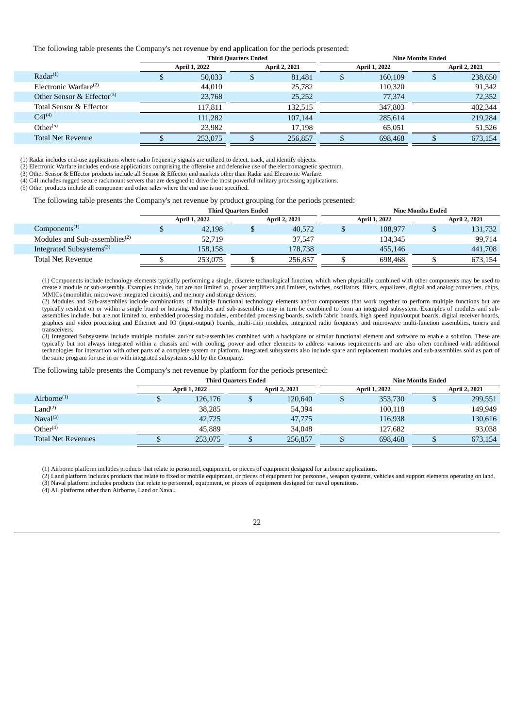## The following table presents the Company's net revenue by end application for the periods presented:

|                                        |                      | <b>Third Quarters Ended</b> |                      |                      | <b>Nine Months Ended</b> |                      |
|----------------------------------------|----------------------|-----------------------------|----------------------|----------------------|--------------------------|----------------------|
|                                        | <b>April 1, 2022</b> |                             | <b>April 2, 2021</b> | <b>April 1, 2022</b> |                          | <b>April 2, 2021</b> |
| $Radar^{(1)}$                          | 50,033               |                             | 81,481               | 160,109              | ۵D                       | 238,650              |
| Electronic Warfare $(2)$               | 44,010               |                             | 25,782               | 110,320              |                          | 91,342               |
| Other Sensor & Effector <sup>(3)</sup> | 23,768               |                             | 25,252               | 77,374               |                          | 72,352               |
| Total Sensor & Effector                | 117,811              |                             | 132.515              | 347,803              |                          | 402,344              |
| $C4I^{(4)}$                            | 111,282              |                             | 107,144              | 285,614              |                          | 219,284              |
| $\mathrm{Other}^\mathrm{(5)}$          | 23.982               |                             | 17,198               | 65.051               |                          | 51,526               |
| <b>Total Net Revenue</b>               | 253,075              |                             | 256,857              | 698,468              |                          | 673,154              |

(1) Radar includes end-use applications where radio frequency signals are utilized to detect, track, and identify objects.

(2) Electronic Warfare includes end-use applications comprising the offensive and defensive use of the electromagnetic spectrum.

(3) Other Sensor & Effector products include all Sensor & Effector end markets other than Radar and Electronic Warfare.

(4) C4I includes rugged secure rackmount servers that are designed to drive the most powerful military processing applications. (5) Other products include all component and other sales where the end use is not specified.

The following table presents the Company's net revenue by product grouping for the periods presented:

|                                           |                      | <b>Third Quarters Ended</b> |                                       |  | <b>Nine Months Ended</b> |  |                      |  |  |  |  |
|-------------------------------------------|----------------------|-----------------------------|---------------------------------------|--|--------------------------|--|----------------------|--|--|--|--|
|                                           | <b>April 1, 2022</b> |                             | <b>April 2, 2021</b><br>April 1, 2022 |  |                          |  | <b>April 2, 2021</b> |  |  |  |  |
| Components <sup>(1)</sup>                 | 42,198               |                             | 40.572                                |  | 108.977                  |  | 131,732              |  |  |  |  |
| Modules and Sub-assemblies <sup>(2)</sup> | 52,719               |                             | 37,547                                |  | 134,345                  |  | 99,714               |  |  |  |  |
| Integrated Subsystems <sup>(3)</sup>      | 158,158              |                             | 178,738                               |  | 455,146                  |  | 441,708              |  |  |  |  |
| <b>Total Net Revenue</b>                  | 253,075              |                             | 256.857                               |  | 698,468                  |  | 673,154              |  |  |  |  |

(1) Components include technology elements typically performing a single, discrete technological function, which when physically combined with other components may be used to create a module or sub-assembly. Examples include, but are not limited to, power amplifiers and limiters, switches, oscillators, filters, equalizers, digital and analog converters, chips, MMICs (monolithic microwave integrated circuits), and memory and storage devices.

(2) Modules and Sub-assemblies include combinations of multiple functional technology elements and/or components that work together to perform multiple functions but are typically resident on or within a single board or housing. Modules and sub-assemblies may in turn be combined to form an integrated subsystem. Examples of modules and subassemblies include, but are not limited to, embedded processing modules, embedded processing boards, switch fabric boards, high speed input/output boards, digital receiver boards, graphics and video processing and Ethernet and IO (input-output) boards, multi-chip modules, integrated radio frequency and microwave multi-function assemblies, tuners and transceivers.

(3) Integrated Subsystems include multiple modules and/or sub-assemblies combined with a backplane or similar functional element and software to enable a solution. These are typically but not always integrated within a chassis and with cooling, power and other elements to address various requirements and are also often combined with additional technologies for interaction with other parts of a complete system or platform. Integrated subsystems also include spare and replacement modules and sub-assemblies sold as part of the same program for use in or with integrated subsystems sold by the Company.

The following table presents the Company's net revenue by platform for the periods presented:

|                                                    | <b>Third Ouarters Ended</b> |  |                      |  | <b>Nine Months Ended</b> |                      |         |  |  |  |  |  |
|----------------------------------------------------|-----------------------------|--|----------------------|--|--------------------------|----------------------|---------|--|--|--|--|--|
|                                                    | <b>April 1, 2022</b>        |  | <b>April 2, 2021</b> |  | <b>April 1, 2022</b>     | <b>April 2, 2021</b> |         |  |  |  |  |  |
| Airborne $(1)$                                     | 126,176                     |  | 120.640              |  | 353,730                  |                      | 299,551 |  |  |  |  |  |
| $\mathsf{Land}^{\scriptscriptstyle{\mathrm{(2)}}}$ | 38,285                      |  | 54,394               |  | 100,118                  |                      | 149,949 |  |  |  |  |  |
| Naval <sup>(3)</sup>                               | 42,725                      |  | 47,775               |  | 116,938                  |                      | 130,616 |  |  |  |  |  |
| Other <sup>(4)</sup>                               | 45,889                      |  | 34,048               |  | 127.682                  |                      | 93,038  |  |  |  |  |  |
| <b>Total Net Revenues</b>                          | 253,075                     |  | 256,857              |  | 698.468                  |                      | 673,154 |  |  |  |  |  |

(1) Airborne platform includes products that relate to personnel, equipment, or pieces of equipment designed for airborne applications.

(2) Land platform includes products that relate to fixed or mobile equipment, or pieces of equipment for personnel, weapon systems, vehicles and support elements operating on land. (3) Naval platform includes products that relate to personnel, equipment, or pieces of equipment designed for naval operations.

(4) All platforms other than Airborne, Land or Naval.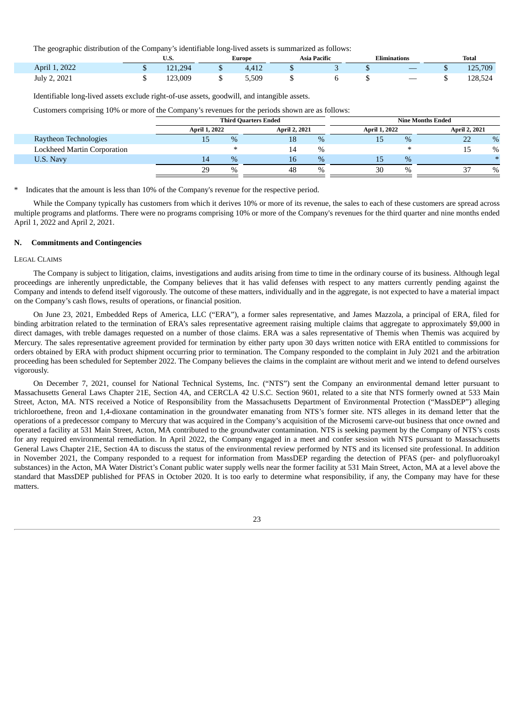The geographic distribution of the Company's identifiable long-lived assets is summarized as follows:

|                  | υ.σ.  | Europe |       | - -<br>Asia Pacific | .<br><b>iliminations</b> |    | Total |         |
|------------------|-------|--------|-------|---------------------|--------------------------|----|-------|---------|
| April 1, 2022    | 794   |        |       |                     |                          |    |       | 125,709 |
| 2.2021<br>July 2 | 3.009 |        | 5,509 |                     |                          | __ | . .   | 128,524 |

Identifiable long-lived assets exclude right-of-use assets, goodwill, and intangible assets.

Customers comprising 10% or more of the Company's revenues for the periods shown are as follows:

|                                    |                                              |               | <b>Third Quarters Ended</b> |      |                      |                      | <b>Nine Months Ended</b> |      |  |  |
|------------------------------------|----------------------------------------------|---------------|-----------------------------|------|----------------------|----------------------|--------------------------|------|--|--|
|                                    | <b>April 2, 2021</b><br><b>April 1, 2022</b> |               |                             |      | <b>April 1, 2022</b> | <b>April 2, 2021</b> |                          |      |  |  |
| Raytheon Technologies              | 15                                           | $\%$          | 18                          | %    | 15                   | %                    | つつ<br>ے                  | $\%$ |  |  |
| <b>Lockheed Martin Corporation</b> |                                              |               | 14                          | $\%$ |                      | $\ast$               | 15                       | $\%$ |  |  |
| U.S. Navy                          | 14                                           | $\%$          | 16                          | $\%$ |                      | $\%$                 |                          |      |  |  |
|                                    | 29                                           | $\frac{0}{0}$ | 48                          | $\%$ | 30                   | $\%$                 |                          | $\%$ |  |  |

Indicates that the amount is less than 10% of the Company's revenue for the respective period.

While the Company typically has customers from which it derives 10% or more of its revenue, the sales to each of these customers are spread across multiple programs and platforms. There were no programs comprising 10% or more of the Company's revenues for the third quarter and nine months ended April 1, 2022 and April 2, 2021.

### **N. Commitments and Contingencies**

## LEGAL CLAIMS

The Company is subject to litigation, claims, investigations and audits arising from time to time in the ordinary course of its business. Although legal proceedings are inherently unpredictable, the Company believes that it has valid defenses with respect to any matters currently pending against the Company and intends to defend itself vigorously. The outcome of these matters, individually and in the aggregate, is not expected to have a material impact on the Company's cash flows, results of operations, or financial position.

On June 23, 2021, Embedded Reps of America, LLC ("ERA"), a former sales representative, and James Mazzola, a principal of ERA, filed for binding arbitration related to the termination of ERA's sales representative agreement raising multiple claims that aggregate to approximately \$9,000 in direct damages, with treble damages requested on a number of those claims. ERA was a sales representative of Themis when Themis was acquired by Mercury. The sales representative agreement provided for termination by either party upon 30 days written notice with ERA entitled to commissions for orders obtained by ERA with product shipment occurring prior to termination. The Company responded to the complaint in July 2021 and the arbitration proceeding has been scheduled for September 2022. The Company believes the claims in the complaint are without merit and we intend to defend ourselves vigorously.

On December 7, 2021, counsel for National Technical Systems, Inc. ("NTS") sent the Company an environmental demand letter pursuant to Massachusetts General Laws Chapter 21E, Section 4A, and CERCLA 42 U.S.C. Section 9601, related to a site that NTS formerly owned at 533 Main Street, Acton, MA. NTS received a Notice of Responsibility from the Massachusetts Department of Environmental Protection ("MassDEP") alleging trichloroethene, freon and 1,4-dioxane contamination in the groundwater emanating from NTS's former site. NTS alleges in its demand letter that the operations of a predecessor company to Mercury that was acquired in the Company's acquisition of the Microsemi carve-out business that once owned and operated a facility at 531 Main Street, Acton, MA contributed to the groundwater contamination. NTS is seeking payment by the Company of NTS's costs for any required environmental remediation. In April 2022, the Company engaged in a meet and confer session with NTS pursuant to Massachusetts General Laws Chapter 21E, Section 4A to discuss the status of the environmental review performed by NTS and its licensed site professional. In addition in November 2021, the Company responded to a request for information from MassDEP regarding the detection of PFAS (per- and polyfluoroakyl substances) in the Acton, MA Water District's Conant public water supply wells near the former facility at 531 Main Street, Acton, MA at a level above the standard that MassDEP published for PFAS in October 2020. It is too early to determine what responsibility, if any, the Company may have for these matters.

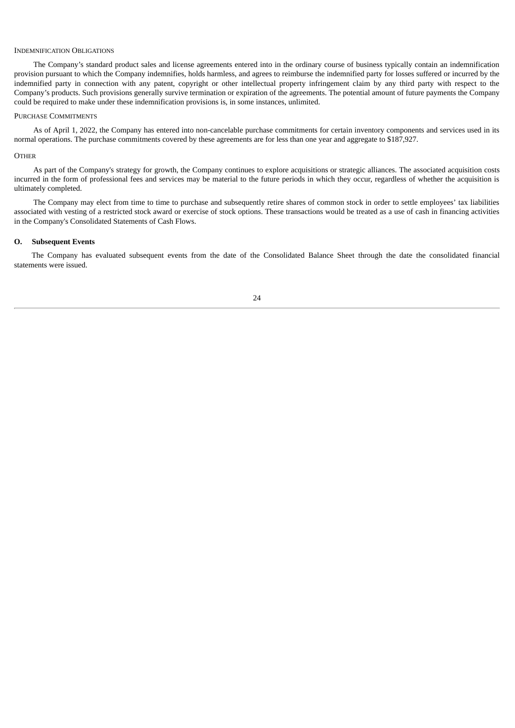### INDEMNIFICATION OBLIGATIONS

The Company's standard product sales and license agreements entered into in the ordinary course of business typically contain an indemnification provision pursuant to which the Company indemnifies, holds harmless, and agrees to reimburse the indemnified party for losses suffered or incurred by the indemnified party in connection with any patent, copyright or other intellectual property infringement claim by any third party with respect to the Company's products. Such provisions generally survive termination or expiration of the agreements. The potential amount of future payments the Company could be required to make under these indemnification provisions is, in some instances, unlimited.

#### PURCHASE COMMITMENTS

As of April 1, 2022, the Company has entered into non-cancelable purchase commitments for certain inventory components and services used in its normal operations. The purchase commitments covered by these agreements are for less than one year and aggregate to \$187,927.

## **OTHER**

As part of the Company's strategy for growth, the Company continues to explore acquisitions or strategic alliances. The associated acquisition costs incurred in the form of professional fees and services may be material to the future periods in which they occur, regardless of whether the acquisition is ultimately completed.

The Company may elect from time to time to purchase and subsequently retire shares of common stock in order to settle employees' tax liabilities associated with vesting of a restricted stock award or exercise of stock options. These transactions would be treated as a use of cash in financing activities in the Company's Consolidated Statements of Cash Flows.

## **O. Subsequent Events**

<span id="page-23-0"></span>The Company has evaluated subsequent events from the date of the Consolidated Balance Sheet through the date the consolidated financial statements were issued.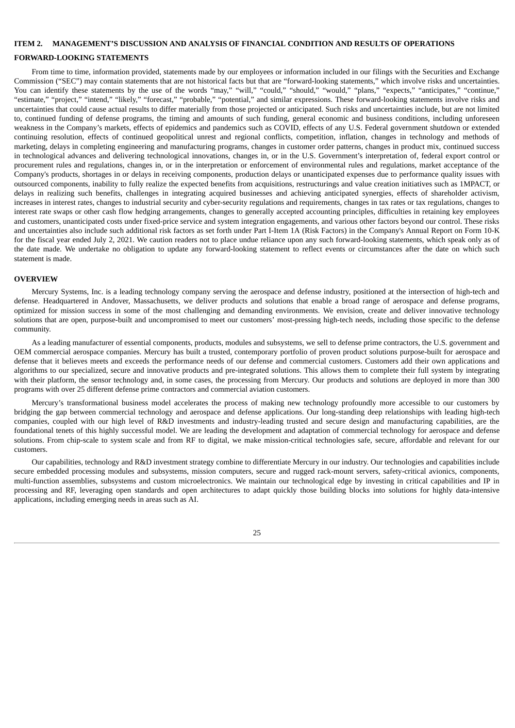## **ITEM 2. MANAGEMENT'S DISCUSSION AND ANALYSIS OF FINANCIAL CONDITION AND RESULTS OF OPERATIONS**

#### **FORWARD-LOOKING STATEMENTS**

From time to time, information provided, statements made by our employees or information included in our filings with the Securities and Exchange Commission ("SEC") may contain statements that are not historical facts but that are "forward-looking statements," which involve risks and uncertainties. You can identify these statements by the use of the words "may," "will," "could," "should," "would," "plans," "expects," "anticipates," "continue," "estimate," "project," "intend," "likely," "forecast," "probable," "potential," and similar expressions. These forward-looking statements involve risks and uncertainties that could cause actual results to differ materially from those projected or anticipated. Such risks and uncertainties include, but are not limited to, continued funding of defense programs, the timing and amounts of such funding, general economic and business conditions, including unforeseen weakness in the Company's markets, effects of epidemics and pandemics such as COVID, effects of any U.S. Federal government shutdown or extended continuing resolution, effects of continued geopolitical unrest and regional conflicts, competition, inflation, changes in technology and methods of marketing, delays in completing engineering and manufacturing programs, changes in customer order patterns, changes in product mix, continued success in technological advances and delivering technological innovations, changes in, or in the U.S. Government's interpretation of, federal export control or procurement rules and regulations, changes in, or in the interpretation or enforcement of environmental rules and regulations, market acceptance of the Company's products, shortages in or delays in receiving components, production delays or unanticipated expenses due to performance quality issues with outsourced components, inability to fully realize the expected benefits from acquisitions, restructurings and value creation initiatives such as 1MPACT, or delays in realizing such benefits, challenges in integrating acquired businesses and achieving anticipated synergies, effects of shareholder activism, increases in interest rates, changes to industrial security and cyber-security regulations and requirements, changes in tax rates or tax regulations, changes to interest rate swaps or other cash flow hedging arrangements, changes to generally accepted accounting principles, difficulties in retaining key employees and customers, unanticipated costs under fixed-price service and system integration engagements, and various other factors beyond our control. These risks and uncertainties also include such additional risk factors as set forth under Part I-Item 1A (Risk Factors) in the Company's Annual Report on Form 10-K for the fiscal year ended July 2, 2021. We caution readers not to place undue reliance upon any such forward-looking statements, which speak only as of the date made. We undertake no obligation to update any forward-looking statement to reflect events or circumstances after the date on which such statement is made.

#### **OVERVIEW**

Mercury Systems, Inc. is a leading technology company serving the aerospace and defense industry, positioned at the intersection of high-tech and defense. Headquartered in Andover, Massachusetts, we deliver products and solutions that enable a broad range of aerospace and defense programs, optimized for mission success in some of the most challenging and demanding environments. We envision, create and deliver innovative technology solutions that are open, purpose-built and uncompromised to meet our customers' most-pressing high-tech needs, including those specific to the defense community.

As a leading manufacturer of essential components, products, modules and subsystems, we sell to defense prime contractors, the U.S. government and OEM commercial aerospace companies. Mercury has built a trusted, contemporary portfolio of proven product solutions purpose-built for aerospace and defense that it believes meets and exceeds the performance needs of our defense and commercial customers. Customers add their own applications and algorithms to our specialized, secure and innovative products and pre-integrated solutions. This allows them to complete their full system by integrating with their platform, the sensor technology and, in some cases, the processing from Mercury. Our products and solutions are deployed in more than 300 programs with over 25 different defense prime contractors and commercial aviation customers.

Mercury's transformational business model accelerates the process of making new technology profoundly more accessible to our customers by bridging the gap between commercial technology and aerospace and defense applications. Our long-standing deep relationships with leading high-tech companies, coupled with our high level of R&D investments and industry-leading trusted and secure design and manufacturing capabilities, are the foundational tenets of this highly successful model. We are leading the development and adaptation of commercial technology for aerospace and defense solutions. From chip-scale to system scale and from RF to digital, we make mission-critical technologies safe, secure, affordable and relevant for our customers.

Our capabilities, technology and R&D investment strategy combine to differentiate Mercury in our industry. Our technologies and capabilities include secure embedded processing modules and subsystems, mission computers, secure and rugged rack-mount servers, safety-critical avionics, components, multi-function assemblies, subsystems and custom microelectronics. We maintain our technological edge by investing in critical capabilities and IP in processing and RF, leveraging open standards and open architectures to adapt quickly those building blocks into solutions for highly data-intensive applications, including emerging needs in areas such as AI.

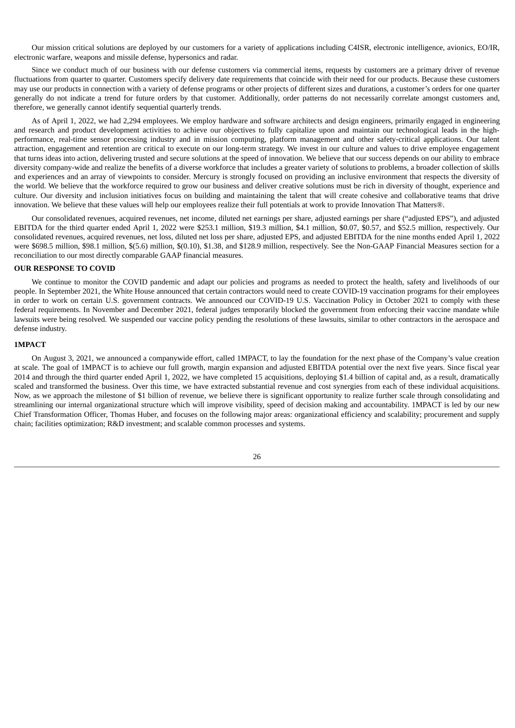Our mission critical solutions are deployed by our customers for a variety of applications including C4ISR, electronic intelligence, avionics, EO/IR, electronic warfare, weapons and missile defense, hypersonics and radar.

Since we conduct much of our business with our defense customers via commercial items, requests by customers are a primary driver of revenue fluctuations from quarter to quarter. Customers specify delivery date requirements that coincide with their need for our products. Because these customers may use our products in connection with a variety of defense programs or other projects of different sizes and durations, a customer's orders for one quarter generally do not indicate a trend for future orders by that customer. Additionally, order patterns do not necessarily correlate amongst customers and, therefore, we generally cannot identify sequential quarterly trends.

As of April 1, 2022, we had 2,294 employees. We employ hardware and software architects and design engineers, primarily engaged in engineering and research and product development activities to achieve our objectives to fully capitalize upon and maintain our technological leads in the highperformance, real-time sensor processing industry and in mission computing, platform management and other safety-critical applications. Our talent attraction, engagement and retention are critical to execute on our long-term strategy. We invest in our culture and values to drive employee engagement that turns ideas into action, delivering trusted and secure solutions at the speed of innovation. We believe that our success depends on our ability to embrace diversity company-wide and realize the benefits of a diverse workforce that includes a greater variety of solutions to problems, a broader collection of skills and experiences and an array of viewpoints to consider. Mercury is strongly focused on providing an inclusive environment that respects the diversity of the world. We believe that the workforce required to grow our business and deliver creative solutions must be rich in diversity of thought, experience and culture. Our diversity and inclusion initiatives focus on building and maintaining the talent that will create cohesive and collaborative teams that drive innovation. We believe that these values will help our employees realize their full potentials at work to provide Innovation That Matters®.

Our consolidated revenues, acquired revenues, net income, diluted net earnings per share, adjusted earnings per share ("adjusted EPS"), and adjusted EBITDA for the third quarter ended April 1, 2022 were \$253.1 million, \$19.3 million, \$4.1 million, \$0.07, \$0.57, and \$52.5 million, respectively. Our consolidated revenues, acquired revenues, net loss, diluted net loss per share, adjusted EPS, and adjusted EBITDA for the nine months ended April 1, 2022 were \$698.5 million, \$98.1 million, \$(5.6) million, \$(0.10), \$1.38, and \$128.9 million, respectively. See the Non-GAAP Financial Measures section for a reconciliation to our most directly comparable GAAP financial measures.

### **OUR RESPONSE TO COVID**

We continue to monitor the COVID pandemic and adapt our policies and programs as needed to protect the health, safety and livelihoods of our people. In September 2021, the White House announced that certain contractors would need to create COVID-19 vaccination programs for their employees in order to work on certain U.S. government contracts. We announced our COVID-19 U.S. Vaccination Policy in October 2021 to comply with these federal requirements. In November and December 2021, federal judges temporarily blocked the government from enforcing their vaccine mandate while lawsuits were being resolved. We suspended our vaccine policy pending the resolutions of these lawsuits, similar to other contractors in the aerospace and defense industry.

#### **1MPACT**

On August 3, 2021, we announced a companywide effort, called 1MPACT, to lay the foundation for the next phase of the Company's value creation at scale. The goal of 1MPACT is to achieve our full growth, margin expansion and adjusted EBITDA potential over the next five years. Since fiscal year 2014 and through the third quarter ended April 1, 2022, we have completed 15 acquisitions, deploying \$1.4 billion of capital and, as a result, dramatically scaled and transformed the business. Over this time, we have extracted substantial revenue and cost synergies from each of these individual acquisitions. Now, as we approach the milestone of \$1 billion of revenue, we believe there is significant opportunity to realize further scale through consolidating and streamlining our internal organizational structure which will improve visibility, speed of decision making and accountability. 1MPACT is led by our new Chief Transformation Officer, Thomas Huber, and focuses on the following major areas: organizational efficiency and scalability; procurement and supply chain; facilities optimization; R&D investment; and scalable common processes and systems.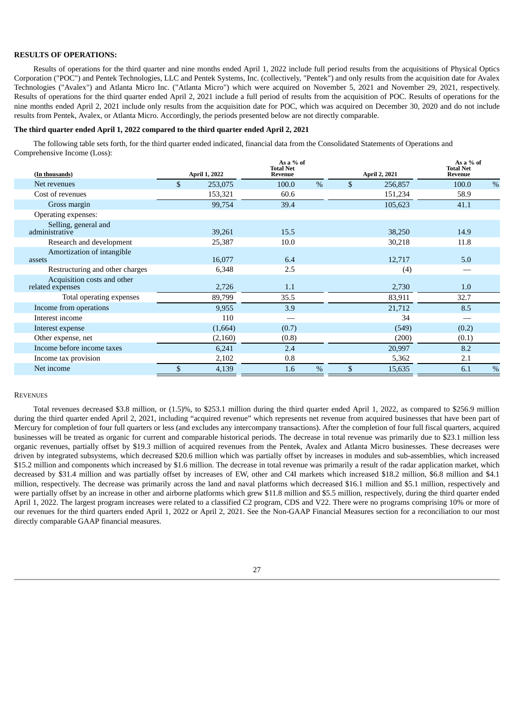## **RESULTS OF OPERATIONS:**

Results of operations for the third quarter and nine months ended April 1, 2022 include full period results from the acquisitions of Physical Optics Corporation ("POC") and Pentek Technologies, LLC and Pentek Systems, Inc. (collectively, "Pentek") and only results from the acquisition date for Avalex Technologies ("Avalex") and Atlanta Micro Inc. ("Atlanta Micro") which were acquired on November 5, 2021 and November 29, 2021, respectively. Results of operations for the third quarter ended April 2, 2021 include a full period of results from the acquisition of POC. Results of operations for the nine months ended April 2, 2021 include only results from the acquisition date for POC, which was acquired on December 30, 2020 and do not include results from Pentek, Avalex, or Atlanta Micro. Accordingly, the periods presented below are not directly comparable.

## **The third quarter ended April 1, 2022 compared to the third quarter ended April 2, 2021**

The following table sets forth, for the third quarter ended indicated, financial data from the Consolidated Statements of Operations and Comprehensive Income (Loss):

| (In thousands)                                  |                | <b>April 1, 2022</b> | As a % of<br><b>Total Net</b><br>Revenue |      |               | April 2, 2021 | As a % of<br><b>Total Net</b><br>Revenue |      |
|-------------------------------------------------|----------------|----------------------|------------------------------------------|------|---------------|---------------|------------------------------------------|------|
| Net revenues                                    | $\mathfrak{F}$ | 253,075              | 100.0                                    | $\%$ | $\mathbf{\$}$ | 256,857       | 100.0                                    | $\%$ |
| Cost of revenues                                |                | 153,321              | 60.6                                     |      |               | 151,234       | 58.9                                     |      |
| Gross margin                                    |                | 99,754               | 39.4                                     |      |               | 105,623       | 41.1                                     |      |
| Operating expenses:                             |                |                      |                                          |      |               |               |                                          |      |
| Selling, general and<br>administrative          |                | 39,261               | 15.5                                     |      |               | 38,250        | 14.9                                     |      |
| Research and development                        |                | 25,387               | 10.0                                     |      |               | 30,218        | 11.8                                     |      |
| Amortization of intangible<br>assets            |                | 16,077               | 6.4                                      |      |               | 12,717        | 5.0                                      |      |
| Restructuring and other charges                 |                | 6,348                | 2.5                                      |      |               | (4)           |                                          |      |
| Acquisition costs and other<br>related expenses |                | 2,726                | 1.1                                      |      |               | 2,730         | 1.0                                      |      |
| Total operating expenses                        |                | 89,799               | 35.5                                     |      |               | 83,911        | 32.7                                     |      |
| Income from operations                          |                | 9,955                | 3.9                                      |      |               | 21,712        | 8.5                                      |      |
| Interest income                                 |                | 110                  |                                          |      |               | 34            |                                          |      |
| Interest expense                                |                | (1,664)              | (0.7)                                    |      |               | (549)         | (0.2)                                    |      |
| Other expense, net                              |                | (2,160)              | (0.8)                                    |      |               | (200)         | (0.1)                                    |      |
| Income before income taxes                      |                | 6,241                | 2.4                                      |      |               | 20,997        | 8.2                                      |      |
| Income tax provision                            |                | 2,102                | 0.8                                      |      |               | 5,362         | 2.1                                      |      |
| Net income                                      | \$             | 4,139                | 1.6                                      | $\%$ | \$            | 15,635        | 6.1                                      | $\%$ |

#### **REVENUES**

Total revenues decreased \$3.8 million, or (1.5)%, to \$253.1 million during the third quarter ended April 1, 2022, as compared to \$256.9 million during the third quarter ended April 2, 2021, including "acquired revenue" which represents net revenue from acquired businesses that have been part of Mercury for completion of four full quarters or less (and excludes any intercompany transactions). After the completion of four full fiscal quarters, acquired businesses will be treated as organic for current and comparable historical periods. The decrease in total revenue was primarily due to \$23.1 million less organic revenues, partially offset by \$19.3 million of acquired revenues from the Pentek, Avalex and Atlanta Micro businesses. These decreases were driven by integrated subsystems, which decreased \$20.6 million which was partially offset by increases in modules and sub-assemblies, which increased \$15.2 million and components which increased by \$1.6 million. The decrease in total revenue was primarily a result of the radar application market, which decreased by \$31.4 million and was partially offset by increases of EW, other and C4I markets which increased \$18.2 million, \$6.8 million and \$4.1 million, respectively. The decrease was primarily across the land and naval platforms which decreased \$16.1 million and \$5.1 million, respectively and were partially offset by an increase in other and airborne platforms which grew \$11.8 million and \$5.5 million, respectively, during the third quarter ended April 1, 2022. The largest program increases were related to a classified C2 program, CDS and V22. There were no programs comprising 10% or more of our revenues for the third quarters ended April 1, 2022 or April 2, 2021. See the Non-GAAP Financial Measures section for a reconciliation to our most directly comparable GAAP financial measures.

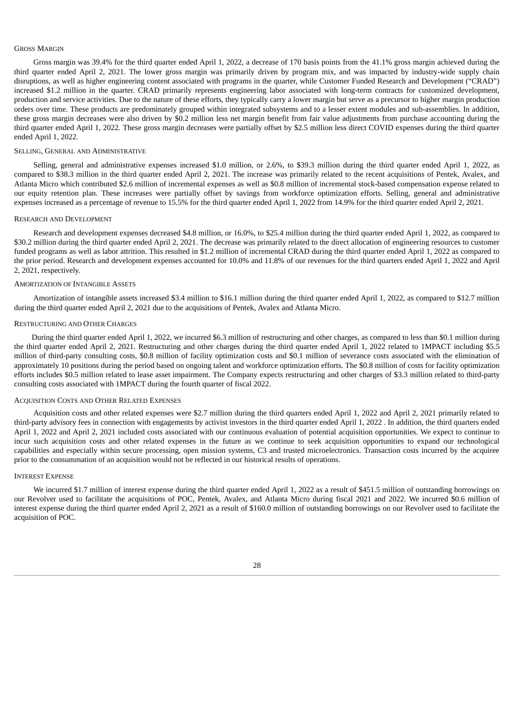#### GROSS MARGIN

Gross margin was 39.4% for the third quarter ended April 1, 2022, a decrease of 170 basis points from the 41.1% gross margin achieved during the third quarter ended April 2, 2021. The lower gross margin was primarily driven by program mix, and was impacted by industry-wide supply chain disruptions, as well as higher engineering content associated with programs in the quarter, while Customer Funded Research and Development ("CRAD") increased \$1.2 million in the quarter. CRAD primarily represents engineering labor associated with long-term contracts for customized development, production and service activities. Due to the nature of these efforts, they typically carry a lower margin but serve as a precursor to higher margin production orders over time. These products are predominately grouped within integrated subsystems and to a lesser extent modules and sub-assemblies. In addition, these gross margin decreases were also driven by \$0.2 million less net margin benefit from fair value adjustments from purchase accounting during the third quarter ended April 1, 2022. These gross margin decreases were partially offset by \$2.5 million less direct COVID expenses during the third quarter ended April 1, 2022.

#### SELLING, GENERAL AND ADMINISTRATIVE

Selling, general and administrative expenses increased \$1.0 million, or 2.6%, to \$39.3 million during the third quarter ended April 1, 2022, as compared to \$38.3 million in the third quarter ended April 2, 2021. The increase was primarily related to the recent acquisitions of Pentek, Avalex, and Atlanta Micro which contributed \$2.6 million of incremental expenses as well as \$0.8 million of incremental stock-based compensation expense related to our equity retention plan. These increases were partially offset by savings from workforce optimization efforts. Selling, general and administrative expenses increased as a percentage of revenue to 15.5% for the third quarter ended April 1, 2022 from 14.9% for the third quarter ended April 2, 2021.

#### RESEARCH AND DEVELOPMENT

Research and development expenses decreased \$4.8 million, or 16.0%, to \$25.4 million during the third quarter ended April 1, 2022, as compared to \$30.2 million during the third quarter ended April 2, 2021. The decrease was primarily related to the direct allocation of engineering resources to customer funded programs as well as labor attrition. This resulted in \$1.2 million of incremental CRAD during the third quarter ended April 1, 2022 as compared to the prior period. Research and development expenses accounted for 10.0% and 11.8% of our revenues for the third quarters ended April 1, 2022 and April 2, 2021, respectively.

#### AMORTIZATION OF INTANGIBLE ASSETS

Amortization of intangible assets increased \$3.4 million to \$16.1 million during the third quarter ended April 1, 2022, as compared to \$12.7 million during the third quarter ended April 2, 2021 due to the acquisitions of Pentek, Avalex and Atlanta Micro.

#### RESTRUCTURING AND OTHER CHARGES

During the third quarter ended April 1, 2022, we incurred \$6.3 million of restructuring and other charges, as compared to less than \$0.1 million during the third quarter ended April 2, 2021. Restructuring and other charges during the third quarter ended April 1, 2022 related to 1MPACT including \$5.5 million of third-party consulting costs, \$0.8 million of facility optimization costs and \$0.1 million of severance costs associated with the elimination of approximately 10 positions during the period based on ongoing talent and workforce optimization efforts. The \$0.8 million of costs for facility optimization efforts includes \$0.5 million related to lease asset impairment. The Company expects restructuring and other charges of \$3.3 million related to third-party consulting costs associated with 1MPACT during the fourth quarter of fiscal 2022.

#### ACQUISITION COSTS AND OTHER RELATED EXPENSES

Acquisition costs and other related expenses were \$2.7 million during the third quarters ended April 1, 2022 and April 2, 2021 primarily related to third-party advisory fees in connection with engagements by activist investors in the third quarter ended April 1, 2022 . In addition, the third quarters ended April 1, 2022 and April 2, 2021 included costs associated with our continuous evaluation of potential acquisition opportunities. We expect to continue to incur such acquisition costs and other related expenses in the future as we continue to seek acquisition opportunities to expand our technological capabilities and especially within secure processing, open mission systems, C3 and trusted microelectronics. Transaction costs incurred by the acquiree prior to the consummation of an acquisition would not be reflected in our historical results of operations.

#### INTEREST EXPENSE

We incurred \$1.7 million of interest expense during the third quarter ended April 1, 2022 as a result of \$451.5 million of outstanding borrowings on our Revolver used to facilitate the acquisitions of POC, Pentek, Avalex, and Atlanta Micro during fiscal 2021 and 2022. We incurred \$0.6 million of interest expense during the third quarter ended April 2, 2021 as a result of \$160.0 million of outstanding borrowings on our Revolver used to facilitate the acquisition of POC.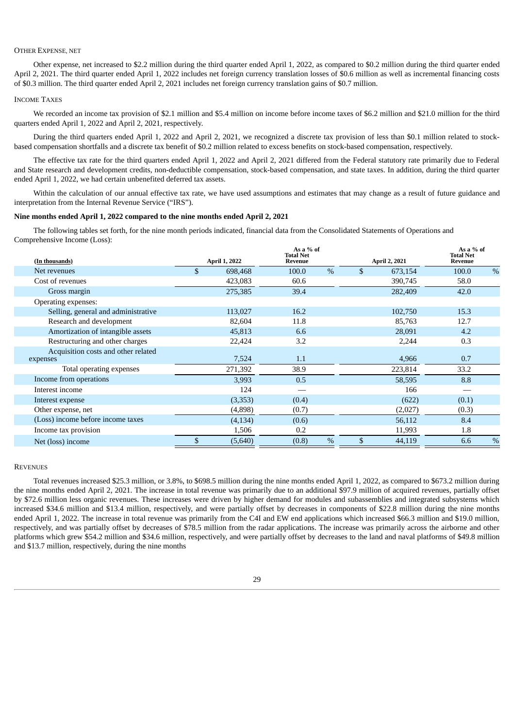#### OTHER EXPENSE, NET

Other expense, net increased to \$2.2 million during the third quarter ended April 1, 2022, as compared to \$0.2 million during the third quarter ended April 2, 2021. The third quarter ended April 1, 2022 includes net foreign currency translation losses of \$0.6 million as well as incremental financing costs of \$0.3 million. The third quarter ended April 2, 2021 includes net foreign currency translation gains of \$0.7 million.

#### INCOME TAXES

We recorded an income tax provision of \$2.1 million and \$5.4 million on income before income taxes of \$6.2 million and \$21.0 million for the third quarters ended April 1, 2022 and April 2, 2021, respectively.

During the third quarters ended April 1, 2022 and April 2, 2021, we recognized a discrete tax provision of less than \$0.1 million related to stockbased compensation shortfalls and a discrete tax benefit of \$0.2 million related to excess benefits on stock-based compensation, respectively.

The effective tax rate for the third quarters ended April 1, 2022 and April 2, 2021 differed from the Federal statutory rate primarily due to Federal and State research and development credits, non-deductible compensation, stock-based compensation, and state taxes. In addition, during the third quarter ended April 1, 2022, we had certain unbenefited deferred tax assets.

Within the calculation of our annual effective tax rate, we have used assumptions and estimates that may change as a result of future guidance and interpretation from the Internal Revenue Service ("IRS").

## **Nine months ended April 1, 2022 compared to the nine months ended April 2, 2021**

The following tables set forth, for the nine month periods indicated, financial data from the Consolidated Statements of Operations and Comprehensive Income (Loss):

| (In thousands)                                  | April 1, 2022 | As a % of<br><b>Total Net</b><br>Revenue |      | April 2, 2021 | As a % of<br><b>Total Net</b><br>Revenue |      |
|-------------------------------------------------|---------------|------------------------------------------|------|---------------|------------------------------------------|------|
| Net revenues                                    | \$<br>698,468 | 100.0                                    | $\%$ | \$<br>673,154 | 100.0                                    | $\%$ |
| Cost of revenues                                | 423,083       | 60.6                                     |      | 390,745       | 58.0                                     |      |
| Gross margin                                    | 275,385       | 39.4                                     |      | 282,409       | 42.0                                     |      |
| Operating expenses:                             |               |                                          |      |               |                                          |      |
| Selling, general and administrative             | 113,027       | 16.2                                     |      | 102,750       | 15.3                                     |      |
| Research and development                        | 82,604        | 11.8                                     |      | 85,763        | 12.7                                     |      |
| Amortization of intangible assets               | 45,813        | 6.6                                      |      | 28,091        | 4.2                                      |      |
| Restructuring and other charges                 | 22,424        | 3.2                                      |      | 2,244         | 0.3                                      |      |
| Acquisition costs and other related<br>expenses | 7,524         | 1.1                                      |      | 4,966         | 0.7                                      |      |
| Total operating expenses                        | 271,392       | 38.9                                     |      | 223,814       | 33.2                                     |      |
| Income from operations                          | 3,993         | 0.5                                      |      | 58,595        | 8.8                                      |      |
| Interest income                                 | 124           |                                          |      | 166           |                                          |      |
| Interest expense                                | (3,353)       | (0.4)                                    |      | (622)         | (0.1)                                    |      |
| Other expense, net                              | (4,898)       | (0.7)                                    |      | (2,027)       | (0.3)                                    |      |
| (Loss) income before income taxes               | (4, 134)      | (0.6)                                    |      | 56,112        | 8.4                                      |      |
| Income tax provision                            | 1,506         | 0.2                                      |      | 11,993        | 1.8                                      |      |
| Net (loss) income                               | \$<br>(5,640) | (0.8)                                    | $\%$ | \$<br>44,119  | 6.6                                      | $\%$ |

#### **REVENUES**

Total revenues increased \$25.3 million, or 3.8%, to \$698.5 million during the nine months ended April 1, 2022, as compared to \$673.2 million during the nine months ended April 2, 2021. The increase in total revenue was primarily due to an additional \$97.9 million of acquired revenues, partially offset by \$72.6 million less organic revenues. These increases were driven by higher demand for modules and subassemblies and integrated subsystems which increased \$34.6 million and \$13.4 million, respectively, and were partially offset by decreases in components of \$22.8 million during the nine months ended April 1, 2022. The increase in total revenue was primarily from the C4I and EW end applications which increased \$66.3 million and \$19.0 million, respectively, and was partially offset by decreases of \$78.5 million from the radar applications. The increase was primarily across the airborne and other platforms which grew \$54.2 million and \$34.6 million, respectively, and were partially offset by decreases to the land and naval platforms of \$49.8 million and \$13.7 million, respectively, during the nine months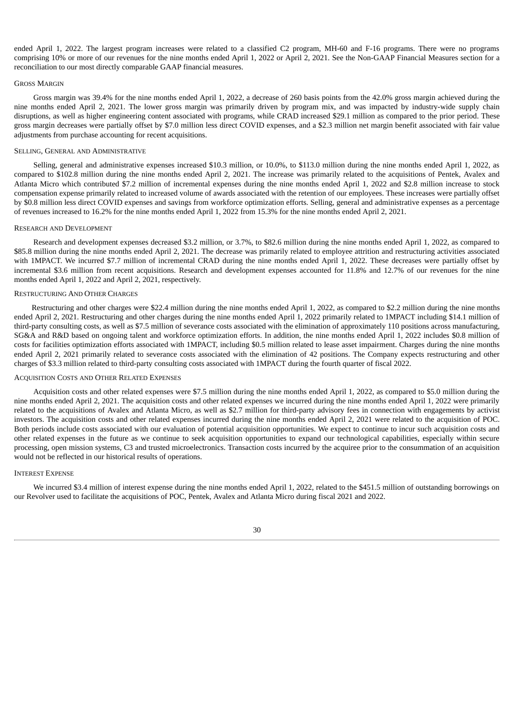ended April 1, 2022. The largest program increases were related to a classified C2 program, MH-60 and F-16 programs. There were no programs comprising 10% or more of our revenues for the nine months ended April 1, 2022 or April 2, 2021. See the Non-GAAP Financial Measures section for a reconciliation to our most directly comparable GAAP financial measures.

#### GROSS MARGIN

Gross margin was 39.4% for the nine months ended April 1, 2022, a decrease of 260 basis points from the 42.0% gross margin achieved during the nine months ended April 2, 2021. The lower gross margin was primarily driven by program mix, and was impacted by industry-wide supply chain disruptions, as well as higher engineering content associated with programs, while CRAD increased \$29.1 million as compared to the prior period. These gross margin decreases were partially offset by \$7.0 million less direct COVID expenses, and a \$2.3 million net margin benefit associated with fair value adjustments from purchase accounting for recent acquisitions.

## SELLING, GENERAL AND ADMINISTRATIVE

Selling, general and administrative expenses increased \$10.3 million, or 10.0%, to \$113.0 million during the nine months ended April 1, 2022, as compared to \$102.8 million during the nine months ended April 2, 2021. The increase was primarily related to the acquisitions of Pentek, Avalex and Atlanta Micro which contributed \$7.2 million of incremental expenses during the nine months ended April 1, 2022 and \$2.8 million increase to stock compensation expense primarily related to increased volume of awards associated with the retention of our employees. These increases were partially offset by \$0.8 million less direct COVID expenses and savings from workforce optimization efforts. Selling, general and administrative expenses as a percentage of revenues increased to 16.2% for the nine months ended April 1, 2022 from 15.3% for the nine months ended April 2, 2021.

#### RESEARCH AND DEVELOPMENT

Research and development expenses decreased \$3.2 million, or 3.7%, to \$82.6 million during the nine months ended April 1, 2022, as compared to \$85.8 million during the nine months ended April 2, 2021. The decrease was primarily related to employee attrition and restructuring activities associated with 1MPACT. We incurred \$7.7 million of incremental CRAD during the nine months ended April 1, 2022. These decreases were partially offset by incremental \$3.6 million from recent acquisitions. Research and development expenses accounted for 11.8% and 12.7% of our revenues for the nine months ended April 1, 2022 and April 2, 2021, respectively.

## RESTRUCTURING AND OTHER CHARGES

Restructuring and other charges were \$22.4 million during the nine months ended April 1, 2022, as compared to \$2.2 million during the nine months ended April 2, 2021. Restructuring and other charges during the nine months ended April 1, 2022 primarily related to 1MPACT including \$14.1 million of third-party consulting costs, as well as \$7.5 million of severance costs associated with the elimination of approximately 110 positions across manufacturing, SG&A and R&D based on ongoing talent and workforce optimization efforts. In addition, the nine months ended April 1, 2022 includes \$0.8 million of costs for facilities optimization efforts associated with 1MPACT, including \$0.5 million related to lease asset impairment. Charges during the nine months ended April 2, 2021 primarily related to severance costs associated with the elimination of 42 positions. The Company expects restructuring and other charges of \$3.3 million related to third-party consulting costs associated with 1MPACT during the fourth quarter of fiscal 2022.

#### ACQUISITION COSTS AND OTHER RELATED EXPENSES

Acquisition costs and other related expenses were \$7.5 million during the nine months ended April 1, 2022, as compared to \$5.0 million during the nine months ended April 2, 2021. The acquisition costs and other related expenses we incurred during the nine months ended April 1, 2022 were primarily related to the acquisitions of Avalex and Atlanta Micro, as well as \$2.7 million for third-party advisory fees in connection with engagements by activist investors. The acquisition costs and other related expenses incurred during the nine months ended April 2, 2021 were related to the acquisition of POC. Both periods include costs associated with our evaluation of potential acquisition opportunities. We expect to continue to incur such acquisition costs and other related expenses in the future as we continue to seek acquisition opportunities to expand our technological capabilities, especially within secure processing, open mission systems, C3 and trusted microelectronics. Transaction costs incurred by the acquiree prior to the consummation of an acquisition would not be reflected in our historical results of operations.

#### INTEREST EXPENSE

We incurred \$3.4 million of interest expense during the nine months ended April 1, 2022, related to the \$451.5 million of outstanding borrowings on our Revolver used to facilitate the acquisitions of POC, Pentek, Avalex and Atlanta Micro during fiscal 2021 and 2022.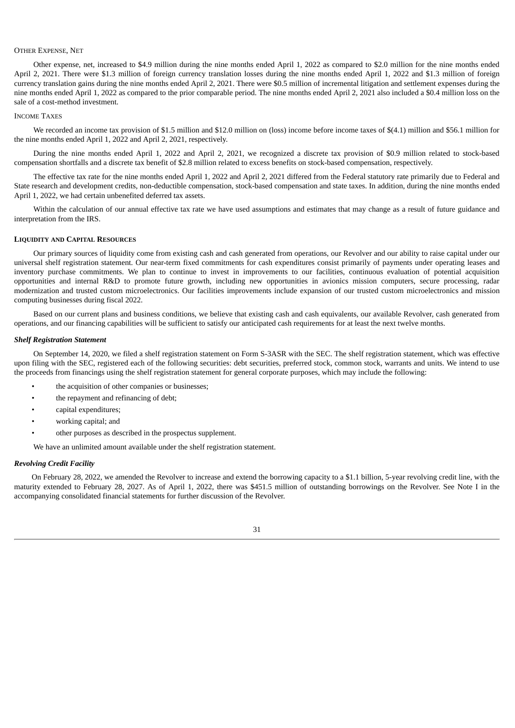#### OTHER EXPENSE, NET

Other expense, net, increased to \$4.9 million during the nine months ended April 1, 2022 as compared to \$2.0 million for the nine months ended April 2, 2021. There were \$1.3 million of foreign currency translation losses during the nine months ended April 1, 2022 and \$1.3 million of foreign currency translation gains during the nine months ended April 2, 2021. There were \$0.5 million of incremental litigation and settlement expenses during the nine months ended April 1, 2022 as compared to the prior comparable period. The nine months ended April 2, 2021 also included a \$0.4 million loss on the sale of a cost-method investment.

#### INCOME TAXES

We recorded an income tax provision of \$1.5 million and \$12.0 million on (loss) income before income taxes of \$(4.1) million and \$56.1 million for the nine months ended April 1, 2022 and April 2, 2021, respectively.

During the nine months ended April 1, 2022 and April 2, 2021, we recognized a discrete tax provision of \$0.9 million related to stock-based compensation shortfalls and a discrete tax benefit of \$2.8 million related to excess benefits on stock-based compensation, respectively.

The effective tax rate for the nine months ended April 1, 2022 and April 2, 2021 differed from the Federal statutory rate primarily due to Federal and State research and development credits, non-deductible compensation, stock-based compensation and state taxes. In addition, during the nine months ended April 1, 2022, we had certain unbenefited deferred tax assets.

Within the calculation of our annual effective tax rate we have used assumptions and estimates that may change as a result of future guidance and interpretation from the IRS.

#### **LIQUIDITY AND CAPITAL RESOURCES**

Our primary sources of liquidity come from existing cash and cash generated from operations, our Revolver and our ability to raise capital under our universal shelf registration statement. Our near-term fixed commitments for cash expenditures consist primarily of payments under operating leases and inventory purchase commitments. We plan to continue to invest in improvements to our facilities, continuous evaluation of potential acquisition opportunities and internal R&D to promote future growth, including new opportunities in avionics mission computers, secure processing, radar modernization and trusted custom microelectronics. Our facilities improvements include expansion of our trusted custom microelectronics and mission computing businesses during fiscal 2022.

Based on our current plans and business conditions, we believe that existing cash and cash equivalents, our available Revolver, cash generated from operations, and our financing capabilities will be sufficient to satisfy our anticipated cash requirements for at least the next twelve months.

#### *Shelf Registration Statement*

On September 14, 2020, we filed a shelf registration statement on Form S-3ASR with the SEC. The shelf registration statement, which was effective upon filing with the SEC, registered each of the following securities: debt securities, preferred stock, common stock, warrants and units. We intend to use the proceeds from financings using the shelf registration statement for general corporate purposes, which may include the following:

- the acquisition of other companies or businesses;
- the repayment and refinancing of debt;
- capital expenditures;
- working capital; and
- other purposes as described in the prospectus supplement.

We have an unlimited amount available under the shelf registration statement.

#### *Revolving Credit Facility*

On February 28, 2022, we amended the Revolver to increase and extend the borrowing capacity to a \$1.1 billion, 5-year revolving credit line, with the maturity extended to February 28, 2027. As of April 1, 2022, there was \$451.5 million of outstanding borrowings on the Revolver. See Note I in the accompanying consolidated financial statements for further discussion of the Revolver.

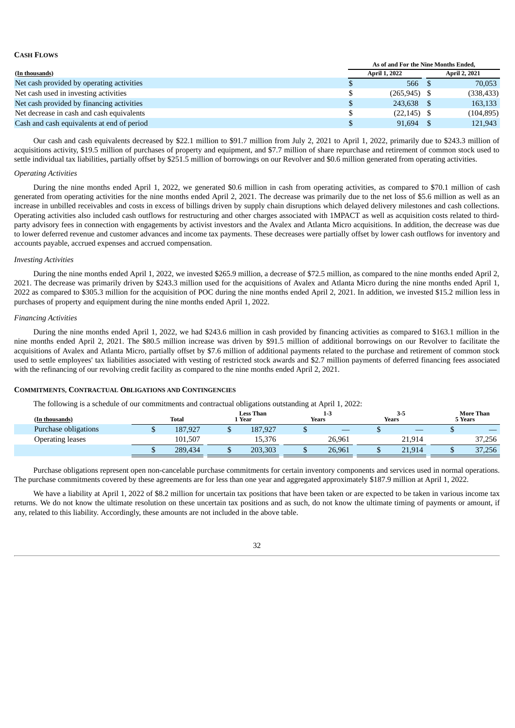#### **CASH FLOWS**

|                                            |     | As of and For the Nine Months Ended. |                      |
|--------------------------------------------|-----|--------------------------------------|----------------------|
| (In thousands)                             |     | <b>April 1, 2022</b>                 | <b>April 2, 2021</b> |
| Net cash provided by operating activities  |     | 566S                                 | 70.053               |
| Net cash used in investing activities      |     | $(265, 945)$ \$                      | (338, 433)           |
| Net cash provided by financing activities  | \$  | 243,638 \$                           | 163,133              |
| Net decrease in cash and cash equivalents  |     | $(22, 145)$ \$                       | (104, 895)           |
| Cash and cash equivalents at end of period | \$. | $91,694$ \$                          | 121,943              |

Our cash and cash equivalents decreased by \$22.1 million to \$91.7 million from July 2, 2021 to April 1, 2022, primarily due to \$243.3 million of acquisitions activity, \$19.5 million of purchases of property and equipment, and \$7.7 million of share repurchase and retirement of common stock used to settle individual tax liabilities, partially offset by \$251.5 million of borrowings on our Revolver and \$0.6 million generated from operating activities.

#### *Operating Activities*

During the nine months ended April 1, 2022, we generated \$0.6 million in cash from operating activities, as compared to \$70.1 million of cash generated from operating activities for the nine months ended April 2, 2021. The decrease was primarily due to the net loss of \$5.6 million as well as an increase in unbilled receivables and costs in excess of billings driven by supply chain disruptions which delayed delivery milestones and cash collections. Operating activities also included cash outflows for restructuring and other charges associated with 1MPACT as well as acquisition costs related to thirdparty advisory fees in connection with engagements by activist investors and the Avalex and Atlanta Micro acquisitions. In addition, the decrease was due to lower deferred revenue and customer advances and income tax payments. These decreases were partially offset by lower cash outflows for inventory and accounts payable, accrued expenses and accrued compensation.

## *Investing Activities*

During the nine months ended April 1, 2022, we invested \$265.9 million, a decrease of \$72.5 million, as compared to the nine months ended April 2, 2021. The decrease was primarily driven by \$243.3 million used for the acquisitions of Avalex and Atlanta Micro during the nine months ended April 1, 2022 as compared to \$305.3 million for the acquisition of POC during the nine months ended April 2, 2021. In addition, we invested \$15.2 million less in purchases of property and equipment during the nine months ended April 1, 2022.

#### *Financing Activities*

During the nine months ended April 1, 2022, we had \$243.6 million in cash provided by financing activities as compared to \$163.1 million in the nine months ended April 2, 2021. The \$80.5 million increase was driven by \$91.5 million of additional borrowings on our Revolver to facilitate the acquisitions of Avalex and Atlanta Micro, partially offset by \$7.6 million of additional payments related to the purchase and retirement of common stock used to settle employees' tax liabilities associated with vesting of restricted stock awards and \$2.7 million payments of deferred financing fees associated with the refinancing of our revolving credit facility as compared to the nine months ended April 2, 2021.

#### **COMMITMENTS, CONTRACTUAL OBLIGATIONS AND CONTINGENCIES**

The following is a schedule of our commitments and contractual obligations outstanding at April 1, 2022:

| (In thousands)       | Total   | <b>Less Than</b><br>Year | 1-3<br>Years | 3-5<br><b>Years</b> | <b>More Than</b><br>5 Years |
|----------------------|---------|--------------------------|--------------|---------------------|-----------------------------|
| Purchase obligations | 187,927 | 187,927                  |              |                     |                             |
| Operating leases     | 101,507 | 15,376                   | 26,961       | 21,914              | 37,256                      |
|                      | 289.434 | 203,303                  | 26.961       | 21.914              | 37,256                      |

Purchase obligations represent open non-cancelable purchase commitments for certain inventory components and services used in normal operations. The purchase commitments covered by these agreements are for less than one year and aggregated approximately \$187.9 million at April 1, 2022.

We have a liability at April 1, 2022 of \$8.2 million for uncertain tax positions that have been taken or are expected to be taken in various income tax returns. We do not know the ultimate resolution on these uncertain tax positions and as such, do not know the ultimate timing of payments or amount, if any, related to this liability. Accordingly, these amounts are not included in the above table.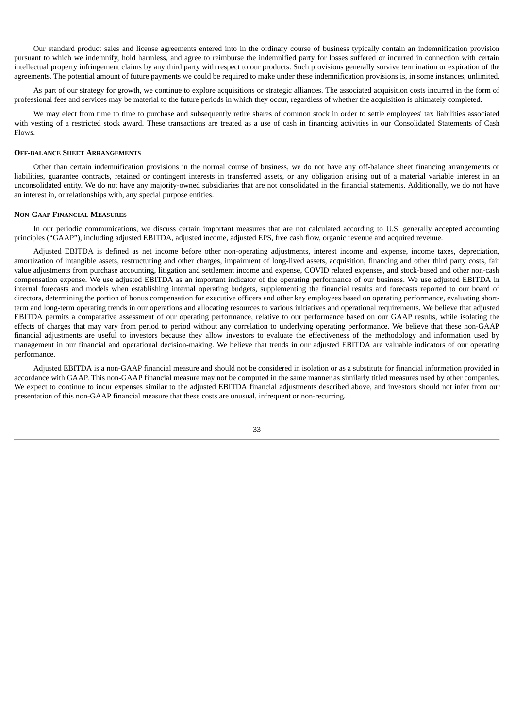Our standard product sales and license agreements entered into in the ordinary course of business typically contain an indemnification provision pursuant to which we indemnify, hold harmless, and agree to reimburse the indemnified party for losses suffered or incurred in connection with certain intellectual property infringement claims by any third party with respect to our products. Such provisions generally survive termination or expiration of the agreements. The potential amount of future payments we could be required to make under these indemnification provisions is, in some instances, unlimited.

As part of our strategy for growth, we continue to explore acquisitions or strategic alliances. The associated acquisition costs incurred in the form of professional fees and services may be material to the future periods in which they occur, regardless of whether the acquisition is ultimately completed.

We may elect from time to time to purchase and subsequently retire shares of common stock in order to settle employees' tax liabilities associated with vesting of a restricted stock award. These transactions are treated as a use of cash in financing activities in our Consolidated Statements of Cash Flows.

#### **OFF-BALANCE SHEET ARRANGEMENTS**

Other than certain indemnification provisions in the normal course of business, we do not have any off-balance sheet financing arrangements or liabilities, guarantee contracts, retained or contingent interests in transferred assets, or any obligation arising out of a material variable interest in an unconsolidated entity. We do not have any majority-owned subsidiaries that are not consolidated in the financial statements. Additionally, we do not have an interest in, or relationships with, any special purpose entities.

#### **NON-GAAP FINANCIAL MEASURES**

In our periodic communications, we discuss certain important measures that are not calculated according to U.S. generally accepted accounting principles ("GAAP"), including adjusted EBITDA, adjusted income, adjusted EPS, free cash flow, organic revenue and acquired revenue.

Adjusted EBITDA is defined as net income before other non-operating adjustments, interest income and expense, income taxes, depreciation, amortization of intangible assets, restructuring and other charges, impairment of long-lived assets, acquisition, financing and other third party costs, fair value adjustments from purchase accounting, litigation and settlement income and expense, COVID related expenses, and stock-based and other non-cash compensation expense. We use adjusted EBITDA as an important indicator of the operating performance of our business. We use adjusted EBITDA in internal forecasts and models when establishing internal operating budgets, supplementing the financial results and forecasts reported to our board of directors, determining the portion of bonus compensation for executive officers and other key employees based on operating performance, evaluating shortterm and long-term operating trends in our operations and allocating resources to various initiatives and operational requirements. We believe that adjusted EBITDA permits a comparative assessment of our operating performance, relative to our performance based on our GAAP results, while isolating the effects of charges that may vary from period to period without any correlation to underlying operating performance. We believe that these non-GAAP financial adjustments are useful to investors because they allow investors to evaluate the effectiveness of the methodology and information used by management in our financial and operational decision-making. We believe that trends in our adjusted EBITDA are valuable indicators of our operating performance.

Adjusted EBITDA is a non-GAAP financial measure and should not be considered in isolation or as a substitute for financial information provided in accordance with GAAP. This non-GAAP financial measure may not be computed in the same manner as similarly titled measures used by other companies. We expect to continue to incur expenses similar to the adjusted EBITDA financial adjustments described above, and investors should not infer from our presentation of this non-GAAP financial measure that these costs are unusual, infrequent or non-recurring.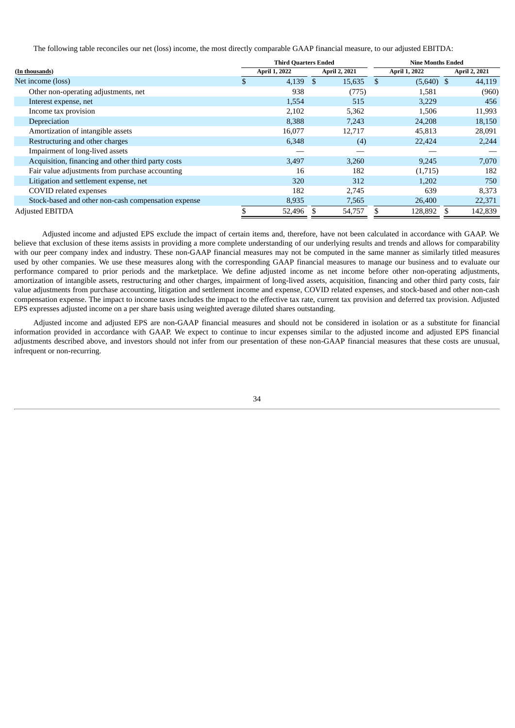The following table reconciles our net (loss) income, the most directly comparable GAAP financial measure, to our adjusted EBITDA:

|                                                     | <b>Third Quarters Ended</b> |               | <b>Nine Months Ended</b> |               |
|-----------------------------------------------------|-----------------------------|---------------|--------------------------|---------------|
| (In thousands)                                      | April 1, 2022               | April 2, 2021 | <b>April 1, 2022</b>     | April 2, 2021 |
| Net income (loss)                                   | 4,139<br>\$.                | 15,635<br>-S  | $(5,640)$ \$<br>- \$     | 44,119        |
| Other non-operating adjustments, net                | 938                         | (775)         | 1,581                    | (960)         |
| Interest expense, net                               | 1,554                       | 515           | 3,229                    | 456           |
| Income tax provision                                | 2,102                       | 5,362         | 1,506                    | 11,993        |
| Depreciation                                        | 8,388                       | 7,243         | 24,208                   | 18,150        |
| Amortization of intangible assets                   | 16,077                      | 12,717        | 45,813                   | 28,091        |
| Restructuring and other charges                     | 6,348                       | (4)           | 22,424                   | 2,244         |
| Impairment of long-lived assets                     |                             |               |                          |               |
| Acquisition, financing and other third party costs  | 3,497                       | 3,260         | 9,245                    | 7,070         |
| Fair value adjustments from purchase accounting     | 16                          | 182           | (1,715)                  | 182           |
| Litigation and settlement expense, net              | 320                         | 312           | 1,202                    | 750           |
| COVID related expenses                              | 182                         | 2,745         | 639                      | 8,373         |
| Stock-based and other non-cash compensation expense | 8,935                       | 7,565         | 26,400                   | 22,371        |
| <b>Adjusted EBITDA</b>                              | 52,496                      | 54,757        | 128,892<br>S             | 142,839       |

Adjusted income and adjusted EPS exclude the impact of certain items and, therefore, have not been calculated in accordance with GAAP. We believe that exclusion of these items assists in providing a more complete understanding of our underlying results and trends and allows for comparability with our peer company index and industry. These non-GAAP financial measures may not be computed in the same manner as similarly titled measures used by other companies. We use these measures along with the corresponding GAAP financial measures to manage our business and to evaluate our performance compared to prior periods and the marketplace. We define adjusted income as net income before other non-operating adjustments, amortization of intangible assets, restructuring and other charges, impairment of long-lived assets, acquisition, financing and other third party costs, fair value adjustments from purchase accounting, litigation and settlement income and expense, COVID related expenses, and stock-based and other non-cash compensation expense. The impact to income taxes includes the impact to the effective tax rate, current tax provision and deferred tax provision. Adjusted EPS expresses adjusted income on a per share basis using weighted average diluted shares outstanding.

Adjusted income and adjusted EPS are non-GAAP financial measures and should not be considered in isolation or as a substitute for financial information provided in accordance with GAAP. We expect to continue to incur expenses similar to the adjusted income and adjusted EPS financial adjustments described above, and investors should not infer from our presentation of these non-GAAP financial measures that these costs are unusual, infrequent or non-recurring.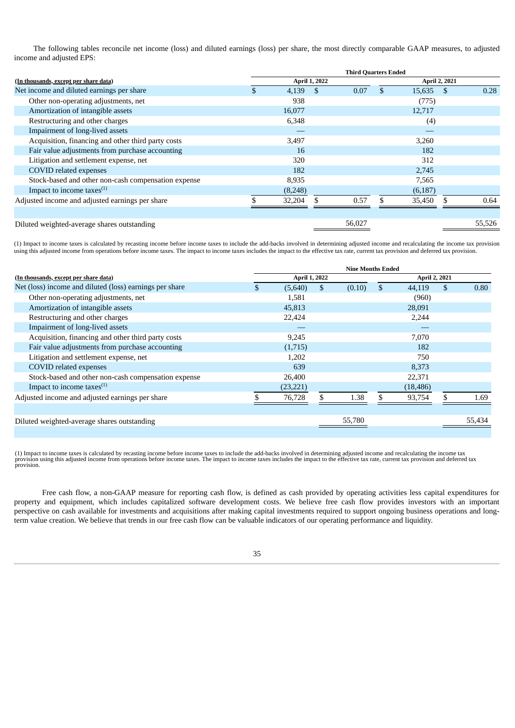The following tables reconcile net income (loss) and diluted earnings (loss) per share, the most directly comparable GAAP measures, to adjusted income and adjusted EPS:

|                                                     | <b>Third Quarters Ended</b> |          |                      |        |  |          |                      |        |  |  |
|-----------------------------------------------------|-----------------------------|----------|----------------------|--------|--|----------|----------------------|--------|--|--|
| (In thousands, except per share data)               |                             |          | <b>April 1, 2022</b> |        |  |          | <b>April 2, 2021</b> |        |  |  |
| Net income and diluted earnings per share           |                             | 4,139    | - \$                 | 0.07   |  | 15,635   | - \$                 | 0.28   |  |  |
| Other non-operating adjustments, net                |                             | 938      |                      |        |  | (775)    |                      |        |  |  |
| Amortization of intangible assets                   |                             | 16,077   |                      |        |  | 12,717   |                      |        |  |  |
| Restructuring and other charges                     |                             | 6,348    |                      |        |  | (4)      |                      |        |  |  |
| Impairment of long-lived assets                     |                             |          |                      |        |  |          |                      |        |  |  |
| Acquisition, financing and other third party costs  |                             | 3,497    |                      |        |  | 3,260    |                      |        |  |  |
| Fair value adjustments from purchase accounting     |                             | 16       |                      |        |  | 182      |                      |        |  |  |
| Litigation and settlement expense, net              |                             | 320      |                      |        |  | 312      |                      |        |  |  |
| <b>COVID</b> related expenses                       |                             | 182      |                      |        |  | 2,745    |                      |        |  |  |
| Stock-based and other non-cash compensation expense |                             | 8,935    |                      |        |  | 7,565    |                      |        |  |  |
| Impact to income taxes $(1)$                        |                             | (8, 248) |                      |        |  | (6, 187) |                      |        |  |  |
| Adjusted income and adjusted earnings per share     |                             | 32,204   |                      | 0.57   |  | 35,450   |                      | 0.64   |  |  |
|                                                     |                             |          |                      |        |  |          |                      |        |  |  |
| Diluted weighted-average shares outstanding         |                             |          |                      | 56,027 |  |          |                      | 55,526 |  |  |

(1) Impact to income taxes is calculated by recasting income before income taxes to include the add-backs involved in determining adjusted income and recalculating the income tax provision Using this adjusted income from operations before income taxes. The impact to income taxes includes the impact to the effective tax rate, current tax provision and deferred tax provision.<br>
using this adjusted income from o

|                                                         | <b>Nine Months Ended</b>                                                                                                                                                                           |           |  |        |  |           |  |        |  |  |
|---------------------------------------------------------|----------------------------------------------------------------------------------------------------------------------------------------------------------------------------------------------------|-----------|--|--------|--|-----------|--|--------|--|--|
| (In thousands, except per share data)                   | April 1, 2022<br>April 2, 2021<br>(0.10)<br>\$.<br>(5,640)<br>\$<br>\$<br>44,119<br>1,581<br>(960)<br>45,813<br>28,091<br>22,424<br>2,244<br>_<br>7,070<br>9,245<br>(1,715)<br>182<br>1,202<br>750 |           |  |        |  |           |  |        |  |  |
| Net (loss) income and diluted (loss) earnings per share |                                                                                                                                                                                                    |           |  |        |  |           |  | 0.80   |  |  |
| Other non-operating adjustments, net                    |                                                                                                                                                                                                    |           |  |        |  |           |  |        |  |  |
| Amortization of intangible assets                       |                                                                                                                                                                                                    |           |  |        |  |           |  |        |  |  |
| Restructuring and other charges                         |                                                                                                                                                                                                    |           |  |        |  |           |  |        |  |  |
| Impairment of long-lived assets                         |                                                                                                                                                                                                    |           |  |        |  |           |  |        |  |  |
| Acquisition, financing and other third party costs      |                                                                                                                                                                                                    |           |  |        |  |           |  |        |  |  |
| Fair value adjustments from purchase accounting         |                                                                                                                                                                                                    |           |  |        |  |           |  |        |  |  |
| Litigation and settlement expense, net                  |                                                                                                                                                                                                    |           |  |        |  |           |  |        |  |  |
| <b>COVID</b> related expenses                           |                                                                                                                                                                                                    | 639       |  |        |  | 8,373     |  |        |  |  |
| Stock-based and other non-cash compensation expense     |                                                                                                                                                                                                    | 26,400    |  |        |  | 22,371    |  |        |  |  |
| Impact to income taxes $^{(1)}$                         |                                                                                                                                                                                                    | (23, 221) |  |        |  | (18, 486) |  |        |  |  |
| Adjusted income and adjusted earnings per share         |                                                                                                                                                                                                    | 76,728    |  | 1.38   |  | 93,754    |  | 1.69   |  |  |
|                                                         |                                                                                                                                                                                                    |           |  |        |  |           |  |        |  |  |
| Diluted weighted-average shares outstanding             |                                                                                                                                                                                                    |           |  | 55,780 |  |           |  | 55,434 |  |  |
|                                                         |                                                                                                                                                                                                    |           |  |        |  |           |  |        |  |  |

(1) Impact to income taxes is calculated by recasting income before income taxes to include the add-backs involved in determining adjusted income and recalculating the income tax<br>provision using this adjusted income from o

Free cash flow, a non-GAAP measure for reporting cash flow, is defined as cash provided by operating activities less capital expenditures for property and equipment, which includes capitalized software development costs. We believe free cash flow provides investors with an important perspective on cash available for investments and acquisitions after making capital investments required to support ongoing business operations and longterm value creation. We believe that trends in our free cash flow can be valuable indicators of our operating performance and liquidity.

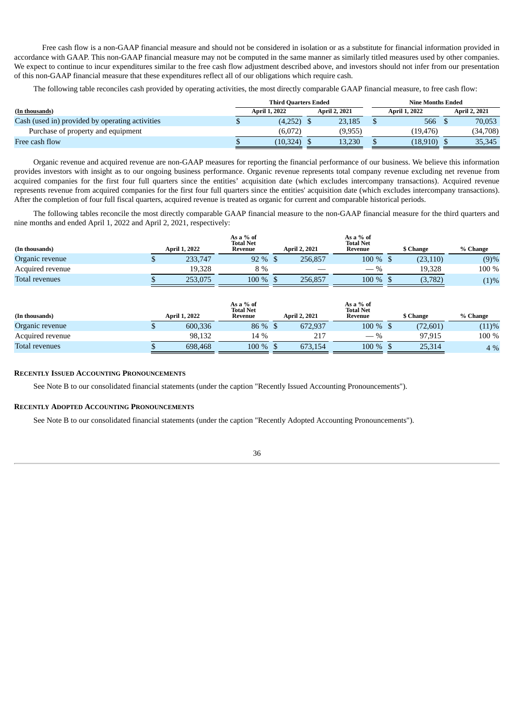Free cash flow is a non-GAAP financial measure and should not be considered in isolation or as a substitute for financial information provided in accordance with GAAP. This non-GAAP financial measure may not be computed in the same manner as similarly titled measures used by other companies. We expect to continue to incur expenditures similar to the free cash flow adjustment described above, and investors should not infer from our presentation of this non-GAAP financial measure that these expenditures reflect all of our obligations which require cash.

The following table reconciles cash provided by operating activities, the most directly comparable GAAP financial measure, to free cash flow:

|                                                 | <b>Third Quarters Ended</b> |  | Nine Months Ended    |                      |                      |
|-------------------------------------------------|-----------------------------|--|----------------------|----------------------|----------------------|
| (In thousands)                                  | <b>April 1, 2022</b>        |  | <b>April 2, 2021</b> | <b>April 1, 2022</b> | <b>April 2, 2021</b> |
| Cash (used in) provided by operating activities | (4,252)                     |  | 23,185               | 566                  | 70,053               |
| Purchase of property and equipment              | (6,072)                     |  | (9,955)              | (19, 476)            | (34,708)             |
| Free cash flow                                  | (10, 324)                   |  | 13.230               | (18,910)             | 35,345               |

Organic revenue and acquired revenue are non-GAAP measures for reporting the financial performance of our business. We believe this information provides investors with insight as to our ongoing business performance. Organic revenue represents total company revenue excluding net revenue from acquired companies for the first four full quarters since the entities' acquisition date (which excludes intercompany transactions). Acquired revenue represents revenue from acquired companies for the first four full quarters since the entities' acquisition date (which excludes intercompany transactions). After the completion of four full fiscal quarters, acquired revenue is treated as organic for current and comparable historical periods.

The following tables reconcile the most directly comparable GAAP financial measure to the non-GAAP financial measure for the third quarters and nine months and ended April 1, 2022 and April 2, 2021, respectively:

| (In thousands)   | <b>April 1, 2022</b> | As a % of<br><b>Total Net</b><br>Revenue | <b>April 2, 2021</b> | As a % of<br><b>Total Net</b><br>Revenue | \$ Change | % Change |
|------------------|----------------------|------------------------------------------|----------------------|------------------------------------------|-----------|----------|
| Organic revenue  | 233,747              | 92 %                                     | 256,857              | $100\%$ \$                               | (23, 110) | (9)%     |
| Acquired revenue | 19,328               | 8 %                                      |                      | $\%$<br>$\hspace{0.1mm}-\hspace{0.1mm}$  | 19.328    | 100 %    |
| Total revenues   | 253,075              | 100 %                                    | 256,857              | $100\%$ \$                               | (3,782)   | (1)%     |

| (In thousands)   | <b>April 1, 2022</b> | As a % of<br><b>Total Net</b><br>Revenue | <b>April 2, 2021</b> | As a % of<br><b>Total Net</b><br>Revenue | \$ Change | % Change |
|------------------|----------------------|------------------------------------------|----------------------|------------------------------------------|-----------|----------|
| Organic revenue  | 600,336              | 86 % \$                                  | 672,937              | $100\%$ \$                               | (72,601)  | (11)%    |
| Acquired revenue | 98.132               | 14 %                                     | 217                  | $-$ %                                    | 97.915    | 100 %    |
| Total revenues   | 698,468              | 100 %                                    | 673,154              | $100\%$ \$                               | 25,314    | 4 %      |

## **RECENTLY ISSUED ACCOUNTING PRONOUNCEMENTS**

See Note B to our consolidated financial statements (under the caption "Recently Issued Accounting Pronouncements").

## **RECENTLY ADOPTED ACCOUNTING PRONOUNCEMENTS**

<span id="page-35-0"></span>See Note B to our consolidated financial statements (under the caption "Recently Adopted Accounting Pronouncements").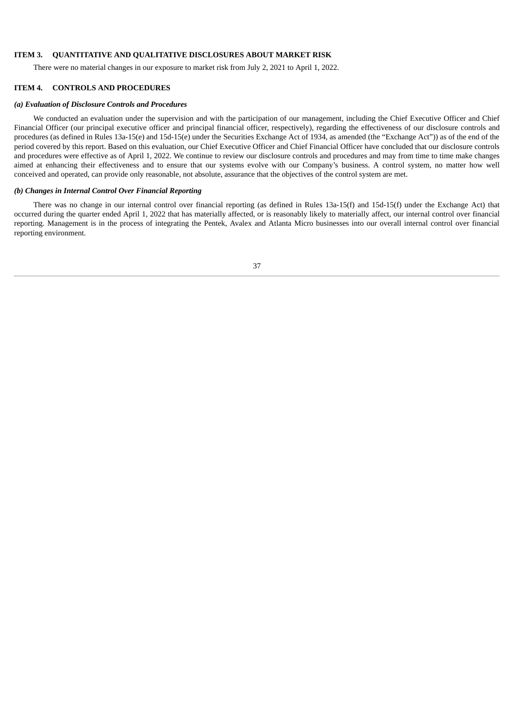## **ITEM 3. QUANTITATIVE AND QUALITATIVE DISCLOSURES ABOUT MARKET RISK**

There were no material changes in our exposure to market risk from July 2, 2021 to April 1, 2022.

## <span id="page-36-0"></span>**ITEM 4. CONTROLS AND PROCEDURES**

## *(a) Evaluation of Disclosure Controls and Procedures*

We conducted an evaluation under the supervision and with the participation of our management, including the Chief Executive Officer and Chief Financial Officer (our principal executive officer and principal financial officer, respectively), regarding the effectiveness of our disclosure controls and procedures (as defined in Rules 13a-15(e) and 15d-15(e) under the Securities Exchange Act of 1934, as amended (the "Exchange Act")) as of the end of the period covered by this report. Based on this evaluation, our Chief Executive Officer and Chief Financial Officer have concluded that our disclosure controls and procedures were effective as of April 1, 2022. We continue to review our disclosure controls and procedures and may from time to time make changes aimed at enhancing their effectiveness and to ensure that our systems evolve with our Company's business. A control system, no matter how well conceived and operated, can provide only reasonable, not absolute, assurance that the objectives of the control system are met.

## *(b) Changes in Internal Control Over Financial Reporting*

There was no change in our internal control over financial reporting (as defined in Rules 13a-15(f) and 15d-15(f) under the Exchange Act) that occurred during the quarter ended April 1, 2022 that has materially affected, or is reasonably likely to materially affect, our internal control over financial reporting. Management is in the process of integrating the Pentek, Avalex and Atlanta Micro businesses into our overall internal control over financial reporting environment.

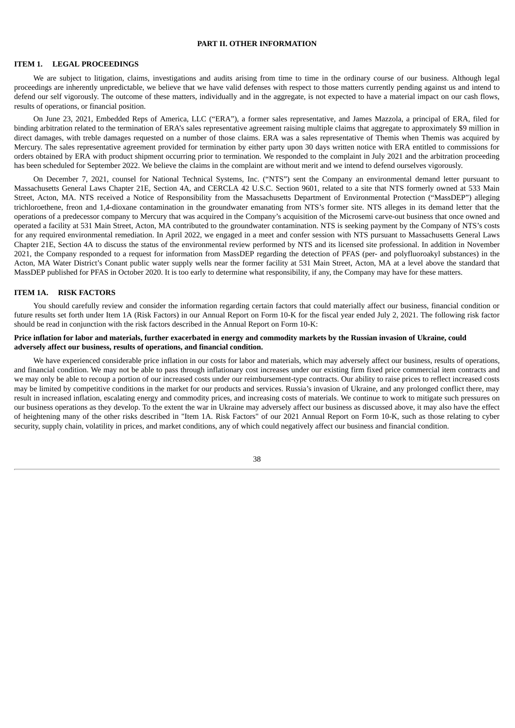### **PART II. OTHER INFORMATION**

# <span id="page-37-0"></span>**ITEM 1. LEGAL PROCEEDINGS**

We are subject to litigation, claims, investigations and audits arising from time to time in the ordinary course of our business. Although legal proceedings are inherently unpredictable, we believe that we have valid defenses with respect to those matters currently pending against us and intend to defend our self vigorously. The outcome of these matters, individually and in the aggregate, is not expected to have a material impact on our cash flows, results of operations, or financial position.

On June 23, 2021, Embedded Reps of America, LLC ("ERA"), a former sales representative, and James Mazzola, a principal of ERA, filed for binding arbitration related to the termination of ERA's sales representative agreement raising multiple claims that aggregate to approximately \$9 million in direct damages, with treble damages requested on a number of those claims. ERA was a sales representative of Themis when Themis was acquired by Mercury. The sales representative agreement provided for termination by either party upon 30 days written notice with ERA entitled to commissions for orders obtained by ERA with product shipment occurring prior to termination. We responded to the complaint in July 2021 and the arbitration proceeding has been scheduled for September 2022. We believe the claims in the complaint are without merit and we intend to defend ourselves vigorously.

On December 7, 2021, counsel for National Technical Systems, Inc. ("NTS") sent the Company an environmental demand letter pursuant to Massachusetts General Laws Chapter 21E, Section 4A, and CERCLA 42 U.S.C. Section 9601, related to a site that NTS formerly owned at 533 Main Street, Acton, MA. NTS received a Notice of Responsibility from the Massachusetts Department of Environmental Protection ("MassDEP") alleging trichloroethene, freon and 1,4-dioxane contamination in the groundwater emanating from NTS's former site. NTS alleges in its demand letter that the operations of a predecessor company to Mercury that was acquired in the Company's acquisition of the Microsemi carve-out business that once owned and operated a facility at 531 Main Street, Acton, MA contributed to the groundwater contamination. NTS is seeking payment by the Company of NTS's costs for any required environmental remediation. In April 2022, we engaged in a meet and confer session with NTS pursuant to Massachusetts General Laws Chapter 21E, Section 4A to discuss the status of the environmental review performed by NTS and its licensed site professional. In addition in November 2021, the Company responded to a request for information from MassDEP regarding the detection of PFAS (per- and polyfluoroakyl substances) in the Acton, MA Water District's Conant public water supply wells near the former facility at 531 Main Street, Acton, MA at a level above the standard that MassDEP published for PFAS in October 2020. It is too early to determine what responsibility, if any, the Company may have for these matters.

#### <span id="page-37-1"></span>**ITEM 1A. RISK FACTORS**

You should carefully review and consider the information regarding certain factors that could materially affect our business, financial condition or future results set forth under Item 1A (Risk Factors) in our Annual Report on Form 10-K for the fiscal year ended July 2, 2021. The following risk factor should be read in conjunction with the risk factors described in the Annual Report on Form 10-K:

## Price inflation for labor and materials, further exacerbated in energy and commodity markets by the Russian invasion of Ukraine, could **adversely affect our business, results of operations, and financial condition.**

<span id="page-37-2"></span>We have experienced considerable price inflation in our costs for labor and materials, which may adversely affect our business, results of operations, and financial condition. We may not be able to pass through inflationary cost increases under our existing firm fixed price commercial item contracts and we may only be able to recoup a portion of our increased costs under our reimbursement-type contracts. Our ability to raise prices to reflect increased costs may be limited by competitive conditions in the market for our products and services. Russia's invasion of Ukraine, and any prolonged conflict there, may result in increased inflation, escalating energy and commodity prices, and increasing costs of materials. We continue to work to mitigate such pressures on our business operations as they develop. To the extent the war in Ukraine may adversely affect our business as discussed above, it may also have the effect of heightening many of the other risks described in "Item 1A. Risk Factors" of our 2021 Annual Report on Form 10-K, such as those relating to cyber security, supply chain, volatility in prices, and market conditions, any of which could negatively affect our business and financial condition.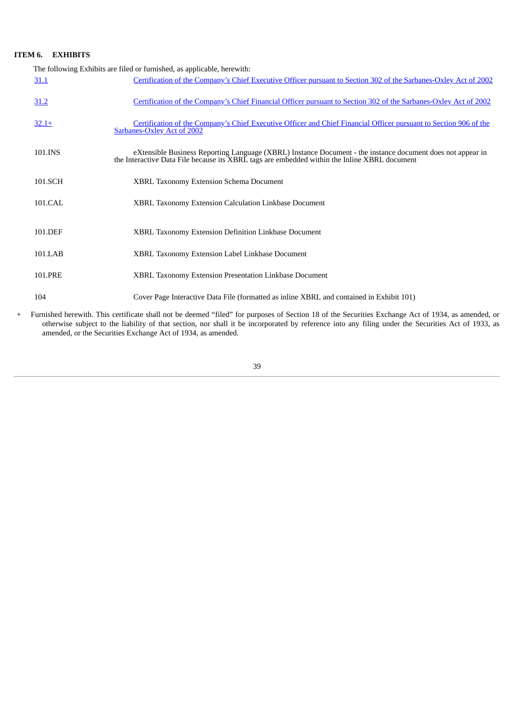# **ITEM 6. EXHIBITS**

The following Exhibits are filed or furnished, as applicable, herewith:

| 31.1    | Certification of the Company's Chief Executive Officer pursuant to Section 302 of the Sarbanes-Oxley Act of 2002                                                                                           |
|---------|------------------------------------------------------------------------------------------------------------------------------------------------------------------------------------------------------------|
| 31.2    | Certification of the Company's Chief Financial Officer pursuant to Section 302 of the Sarbanes-Oxley Act of 2002                                                                                           |
| $32.1+$ | Certification of the Company's Chief Executive Officer and Chief Financial Officer pursuant to Section 906 of the<br>Sarbanes-Oxley Act of 2002                                                            |
| 101.INS | eXtensible Business Reporting Language (XBRL) Instance Document - the instance document does not appear in<br>the Interactive Data File because its XBRL tags are embedded within the Inline XBRL document |
| 101.SCH | <b>XBRL Taxonomy Extension Schema Document</b>                                                                                                                                                             |
| 101.CAL | <b>XBRL Taxonomy Extension Calculation Linkbase Document</b>                                                                                                                                               |
| 101.DEF | XBRL Taxonomy Extension Definition Linkbase Document                                                                                                                                                       |
| 101.LAB | XBRL Taxonomy Extension Label Linkbase Document                                                                                                                                                            |
| 101.PRE | XBRL Taxonomy Extension Presentation Linkbase Document                                                                                                                                                     |
| 104     | Cover Page Interactive Data File (formatted as inline XBRL and contained in Exhibit 101)                                                                                                                   |

<span id="page-38-0"></span>+ Furnished herewith. This certificate shall not be deemed "filed" for purposes of Section 18 of the Securities Exchange Act of 1934, as amended, or otherwise subject to the liability of that section, nor shall it be incorporated by reference into any filing under the Securities Act of 1933, as amended, or the Securities Exchange Act of 1934, as amended.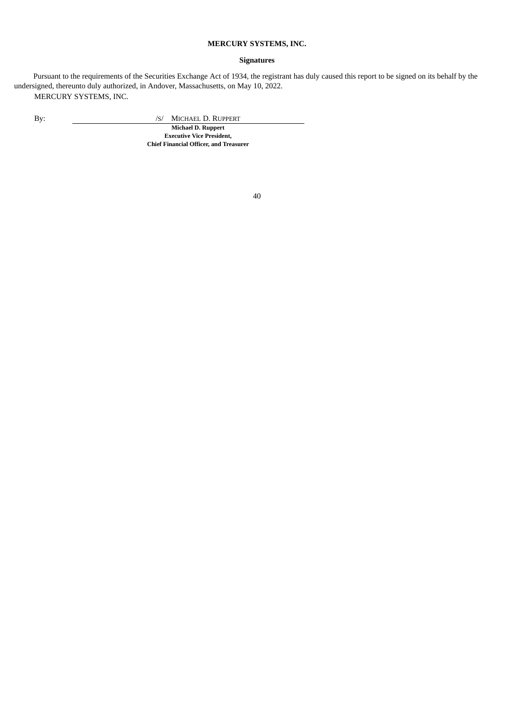## **MERCURY SYSTEMS, INC.**

## **Signatures**

Pursuant to the requirements of the Securities Exchange Act of 1934, the registrant has duly caused this report to be signed on its behalf by the undersigned, thereunto duly authorized, in Andover, Massachusetts, on May 10, 2022. MERCURY SYSTEMS, INC.

By: /S/ MICHAEL D. RUPPERT **Michael D. Ruppert Executive Vice President, Chief Financial Officer, and Treasurer**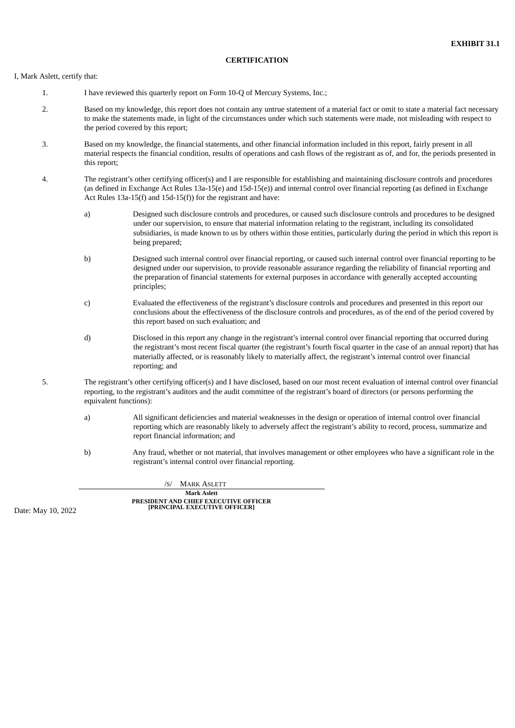## **CERTIFICATION**

<span id="page-40-0"></span>I, Mark Aslett, certify that:

- 1. I have reviewed this quarterly report on Form 10-Q of Mercury Systems, Inc.;
- 2. Based on my knowledge, this report does not contain any untrue statement of a material fact or omit to state a material fact necessary to make the statements made, in light of the circumstances under which such statements were made, not misleading with respect to the period covered by this report;
- 3. Based on my knowledge, the financial statements, and other financial information included in this report, fairly present in all material respects the financial condition, results of operations and cash flows of the registrant as of, and for, the periods presented in this report;
- 4. The registrant's other certifying officer(s) and I are responsible for establishing and maintaining disclosure controls and procedures (as defined in Exchange Act Rules 13a-15(e) and 15d-15(e)) and internal control over financial reporting (as defined in Exchange Act Rules 13a-15(f) and 15d-15(f)) for the registrant and have:
	- a) Designed such disclosure controls and procedures, or caused such disclosure controls and procedures to be designed under our supervision, to ensure that material information relating to the registrant, including its consolidated subsidiaries, is made known to us by others within those entities, particularly during the period in which this report is being prepared;
	- b) Designed such internal control over financial reporting, or caused such internal control over financial reporting to be designed under our supervision, to provide reasonable assurance regarding the reliability of financial reporting and the preparation of financial statements for external purposes in accordance with generally accepted accounting principles;
	- c) Evaluated the effectiveness of the registrant's disclosure controls and procedures and presented in this report our conclusions about the effectiveness of the disclosure controls and procedures, as of the end of the period covered by this report based on such evaluation; and
	- d) Disclosed in this report any change in the registrant's internal control over financial reporting that occurred during the registrant's most recent fiscal quarter (the registrant's fourth fiscal quarter in the case of an annual report) that has materially affected, or is reasonably likely to materially affect, the registrant's internal control over financial reporting; and
- 5. The registrant's other certifying officer(s) and I have disclosed, based on our most recent evaluation of internal control over financial reporting, to the registrant's auditors and the audit committee of the registrant's board of directors (or persons performing the equivalent functions):
	- a) All significant deficiencies and material weaknesses in the design or operation of internal control over financial reporting which are reasonably likely to adversely affect the registrant's ability to record, process, summarize and report financial information; and
	- b) Any fraud, whether or not material, that involves management or other employees who have a significant role in the registrant's internal control over financial reporting.

/S/ MARK ASLETT **Mark Aslett PRESIDENT AND CHIEF EXECUTIVE OFFICER [PRINCIPAL EXECUTIVE OFFICER]**

Date: May 10, 2022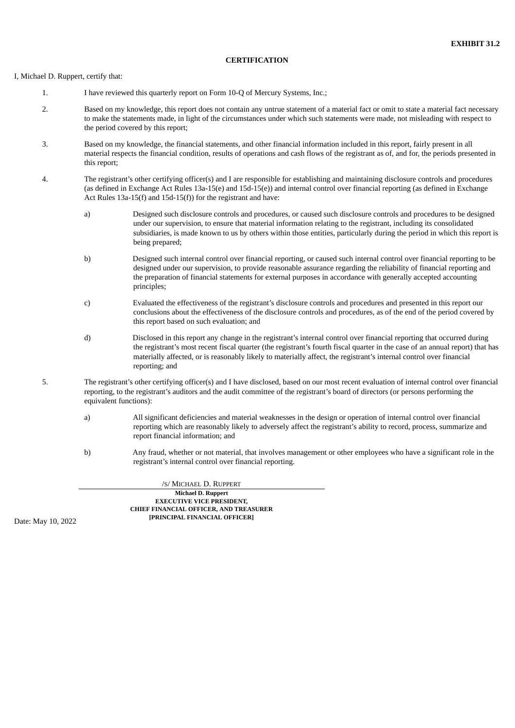## **CERTIFICATION**

<span id="page-41-0"></span>I, Michael D. Ruppert, certify that:

- 1. I have reviewed this quarterly report on Form 10-Q of Mercury Systems, Inc.;
- 2. Based on my knowledge, this report does not contain any untrue statement of a material fact or omit to state a material fact necessary to make the statements made, in light of the circumstances under which such statements were made, not misleading with respect to the period covered by this report;
- 3. Based on my knowledge, the financial statements, and other financial information included in this report, fairly present in all material respects the financial condition, results of operations and cash flows of the registrant as of, and for, the periods presented in this report;
- 4. The registrant's other certifying officer(s) and I are responsible for establishing and maintaining disclosure controls and procedures (as defined in Exchange Act Rules 13a-15(e) and 15d-15(e)) and internal control over financial reporting (as defined in Exchange Act Rules 13a-15(f) and 15d-15(f)) for the registrant and have:
	- a) Designed such disclosure controls and procedures, or caused such disclosure controls and procedures to be designed under our supervision, to ensure that material information relating to the registrant, including its consolidated subsidiaries, is made known to us by others within those entities, particularly during the period in which this report is being prepared;
	- b) Designed such internal control over financial reporting, or caused such internal control over financial reporting to be designed under our supervision, to provide reasonable assurance regarding the reliability of financial reporting and the preparation of financial statements for external purposes in accordance with generally accepted accounting principles;
	- c) Evaluated the effectiveness of the registrant's disclosure controls and procedures and presented in this report our conclusions about the effectiveness of the disclosure controls and procedures, as of the end of the period covered by this report based on such evaluation; and
	- d) Disclosed in this report any change in the registrant's internal control over financial reporting that occurred during the registrant's most recent fiscal quarter (the registrant's fourth fiscal quarter in the case of an annual report) that has materially affected, or is reasonably likely to materially affect, the registrant's internal control over financial reporting; and
- 5. The registrant's other certifying officer(s) and I have disclosed, based on our most recent evaluation of internal control over financial reporting, to the registrant's auditors and the audit committee of the registrant's board of directors (or persons performing the equivalent functions):
	- a) All significant deficiencies and material weaknesses in the design or operation of internal control over financial reporting which are reasonably likely to adversely affect the registrant's ability to record, process, summarize and report financial information; and
	- b) Any fraud, whether or not material, that involves management or other employees who have a significant role in the registrant's internal control over financial reporting.

/S/ MICHAEL D. RUPPERT **Michael D. Ruppert EXECUTIVE VICE PRESIDENT, CHIEF FINANCIAL OFFICER, AND TREASURER [PRINCIPAL FINANCIAL OFFICER]**

Date: May 10, 2022